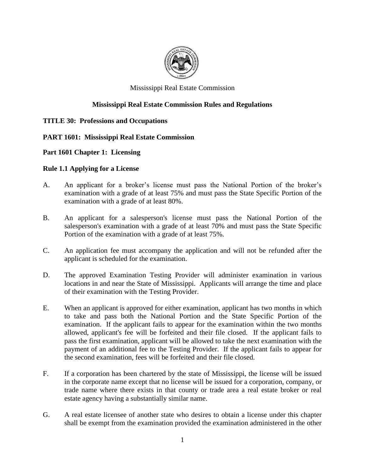

### Mississippi Real Estate Commission

### **Mississippi Real Estate Commission Rules and Regulations**

#### **TITLE 30: Professions and Occupations**

### **PART 1601: Mississippi Real Estate Commission**

#### **Part 1601 Chapter 1: Licensing**

#### **Rule 1.1 Applying for a License**

- A. An applicant for a broker's license must pass the National Portion of the broker's examination with a grade of at least 75% and must pass the State Specific Portion of the examination with a grade of at least 80%.
- B. An applicant for a salesperson's license must pass the National Portion of the salesperson's examination with a grade of at least 70% and must pass the State Specific Portion of the examination with a grade of at least 75%.
- C. An application fee must accompany the application and will not be refunded after the applicant is scheduled for the examination.
- D. The approved Examination Testing Provider will administer examination in various locations in and near the State of Mississippi. Applicants will arrange the time and place of their examination with the Testing Provider.
- E. When an applicant is approved for either examination, applicant has two months in which to take and pass both the National Portion and the State Specific Portion of the examination. If the applicant fails to appear for the examination within the two months allowed, applicant's fee will be forfeited and their file closed. If the applicant fails to pass the first examination, applicant will be allowed to take the next examination with the payment of an additional fee to the Testing Provider. If the applicant fails to appear for the second examination, fees will be forfeited and their file closed.
- F. If a corporation has been chartered by the state of Mississippi, the license will be issued in the corporate name except that no license will be issued for a corporation, company, or trade name where there exists in that county or trade area a real estate broker or real estate agency having a substantially similar name.
- G. A real estate licensee of another state who desires to obtain a license under this chapter shall be exempt from the examination provided the examination administered in the other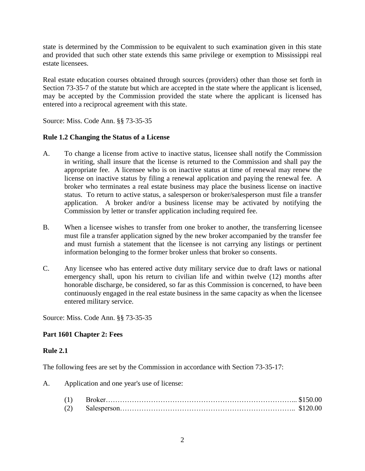state is determined by the Commission to be equivalent to such examination given in this state and provided that such other state extends this same privilege or exemption to Mississippi real estate licensees.

Real estate education courses obtained through sources (providers) other than those set forth in Section 73-35-7 of the statute but which are accepted in the state where the applicant is licensed, may be accepted by the Commission provided the state where the applicant is licensed has entered into a reciprocal agreement with this state.

Source: Miss. Code Ann. §§ 73-35-35

### **Rule 1.2 Changing the Status of a License**

- A. To change a license from active to inactive status, licensee shall notify the Commission in writing, shall insure that the license is returned to the Commission and shall pay the appropriate fee. A licensee who is on inactive status at time of renewal may renew the license on inactive status by filing a renewal application and paying the renewal fee. A broker who terminates a real estate business may place the business license on inactive status. To return to active status, a salesperson or broker/salesperson must file a transfer application. A broker and/or a business license may be activated by notifying the Commission by letter or transfer application including required fee.
- B. When a licensee wishes to transfer from one broker to another, the transferring licensee must file a transfer application signed by the new broker accompanied by the transfer fee and must furnish a statement that the licensee is not carrying any listings or pertinent information belonging to the former broker unless that broker so consents.
- C. Any licensee who has entered active duty military service due to draft laws or national emergency shall, upon his return to civilian life and within twelve (12) months after honorable discharge, be considered, so far as this Commission is concerned, to have been continuously engaged in the real estate business in the same capacity as when the licensee entered military service.

Source: Miss. Code Ann. §§ 73-35-35

#### **Part 1601 Chapter 2: Fees**

#### **Rule 2.1**

The following fees are set by the Commission in accordance with Section 73-35-17:

A. Application and one year's use of license: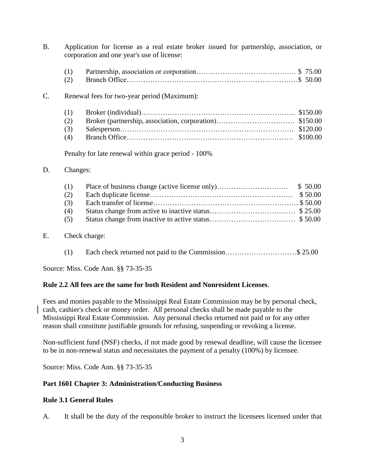|    |     | corporation and one year's use of license:          |          |  |  |  |  |
|----|-----|-----------------------------------------------------|----------|--|--|--|--|
|    | (1) |                                                     |          |  |  |  |  |
|    | (2) |                                                     |          |  |  |  |  |
| C. |     | Renewal fees for two-year period (Maximum):         |          |  |  |  |  |
|    | (1) |                                                     | \$150.00 |  |  |  |  |
|    | (2) |                                                     |          |  |  |  |  |
|    | (3) |                                                     | \$120.00 |  |  |  |  |
|    | (4) |                                                     | \$100.00 |  |  |  |  |
|    |     | Penalty for late renewal within grace period - 100% |          |  |  |  |  |
| D. |     | Changes:                                            |          |  |  |  |  |
|    | (1) | Place of business change (active license only)      | \$50.00  |  |  |  |  |
|    | (2) |                                                     | \$50.00  |  |  |  |  |
|    | (3) |                                                     |          |  |  |  |  |
|    | (4) |                                                     |          |  |  |  |  |
|    | (5) |                                                     |          |  |  |  |  |
|    |     |                                                     |          |  |  |  |  |

B. Application for license as a real estate broker issued for partnership, association, or

### E. Check charge:

| (1) |  | Each check returned not paid to the Commission\$ 25.00 |
|-----|--|--------------------------------------------------------|
|     |  |                                                        |

Source: Miss. Code Ann. §§ 73-35-35

#### **Rule 2.2 All fees are the same for both Resident and Nonresident Licenses**.

Fees and monies payable to the Mississippi Real Estate Commission may be by personal check, cash, cashier's check or money order. All personal checks shall be made payable to the Mississippi Real Estate Commission. Any personal checks returned not paid or for any other reason shall constitute justifiable grounds for refusing, suspending or revoking a license.

Non-sufficient fund (NSF) checks, if not made good by renewal deadline, will cause the licensee to be in non-renewal status and necessitates the payment of a penalty (100%) by licensee.

Source: Miss. Code Ann. §§ 73-35-35

### **Part 1601 Chapter 3: Administration/Conducting Business**

#### **Rule 3.1 General Rules**

A. It shall be the duty of the responsible broker to instruct the licensees licensed under that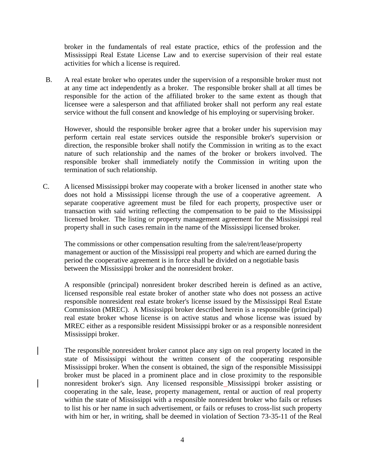broker in the fundamentals of real estate practice, ethics of the profession and the Mississippi Real Estate License Law and to exercise supervision of their real estate activities for which a license is required.

B. A real estate broker who operates under the supervision of a responsible broker must not at any time act independently as a broker. The responsible broker shall at all times be responsible for the action of the affiliated broker to the same extent as though that licensee were a salesperson and that affiliated broker shall not perform any real estate service without the full consent and knowledge of his employing or supervising broker.

However, should the responsible broker agree that a broker under his supervision may perform certain real estate services outside the responsible broker's supervision or direction, the responsible broker shall notify the Commission in writing as to the exact nature of such relationship and the names of the broker or brokers involved. The responsible broker shall immediately notify the Commission in writing upon the termination of such relationship.

C. A licensed Mississippi broker may cooperate with a broker licensed in another state who does not hold a Mississippi license through the use of a cooperative agreement. A separate cooperative agreement must be filed for each property, prospective user or transaction with said writing reflecting the compensation to be paid to the Mississippi licensed broker. The listing or property management agreement for the Mississippi real property shall in such cases remain in the name of the Mississippi licensed broker.

The commissions or other compensation resulting from the sale/rent/lease/property management or auction of the Mississippi real property and which are earned during the period the cooperative agreement is in force shall be divided on a negotiable basis between the Mississippi broker and the nonresident broker.

A responsible (principal) nonresident broker described herein is defined as an active, licensed responsible real estate broker of another state who does not possess an active responsible nonresident real estate broker's license issued by the Mississippi Real Estate Commission (MREC). A Mississippi broker described herein is a responsible (principal) real estate broker whose license is on active status and whose license was issued by MREC either as a responsible resident Mississippi broker or as a responsible nonresident Mississippi broker.

The responsible nonresident broker cannot place any sign on real property located in the state of Mississippi without the written consent of the cooperating responsible Mississippi broker. When the consent is obtained, the sign of the responsible Mississippi broker must be placed in a prominent place and in close proximity to the responsible nonresident broker's sign. Any licensed responsible Mississippi broker assisting or cooperating in the sale, lease, property management, rental or auction of real property within the state of Mississippi with a responsible nonresident broker who fails or refuses to list his or her name in such advertisement, or fails or refuses to cross-list such property with him or her, in writing, shall be deemed in violation of Section 73-35-11 of the Real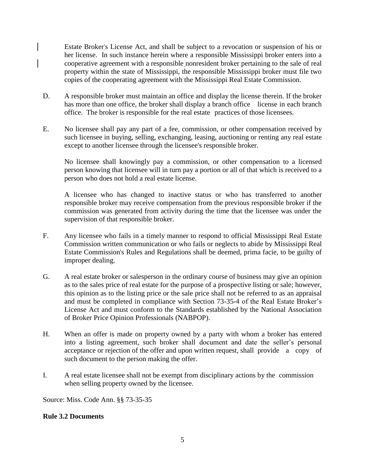Estate Broker's License Act, and shall be subject to a revocation or suspension of his or her license. In such instance herein where a responsible Mississippi broker enters into a cooperative agreement with a responsible nonresident broker pertaining to the sale of real property within the state of Mississippi, the responsible Mississippi broker must file two copies of the cooperating agreement with the Mississippi Real Estate Commission.

- D. A responsible broker must maintain an office and display the license therein. If the broker has more than one office, the broker shall display a branch office license in each branch office. The broker is responsible for the real estate practices of those licensees.
- E. No licensee shall pay any part of a fee, commission, or other compensation received by such licensee in buying, selling, exchanging, leasing, auctioning or renting any real estate except to another licensee through the licensee's responsible broker.

No licensee shall knowingly pay a commission, or other compensation to a licensed person knowing that licensee will in turn pay a portion or all of that which is received to a person who does not hold a real estate license.

A licensee who has changed to inactive status or who has transferred to another responsible broker may receive compensation from the previous responsible broker if the commission was generated from activity during the time that the licensee was under the supervision of that responsible broker.

- F. Any licensee who fails in a timely manner to respond to official Mississippi Real Estate Commission written communication or who fails or neglects to abide by Mississippi Real Estate Commission's Rules and Regulations shall be deemed, prima facie, to be guilty of improper dealing.
- G. A real estate broker or salesperson in the ordinary course of business may give an opinion as to the sales price of real estate for the purpose of a prospective listing or sale; however, this opinion as to the listing price or the sale price shall not be referred to as an appraisal and must be completed in compliance with Section 73-35-4 of the Real Estate Broker's License Act and must conform to the Standards established by the National Association of Broker Price Opinion Professionals (NABPOP).
- H. When an offer is made on property owned by a party with whom a broker has entered into a listing agreement, such broker shall document and date the seller's personal acceptance or rejection of the offer and upon written request, shall provide a copy of such document to the person making the offer.
- I. A real estate licensee shall not be exempt from disciplinary actions by the commission when selling property owned by the licensee.

Source: Miss. Code Ann. §§ 73-35-35

#### **Rule 3.2 Documents**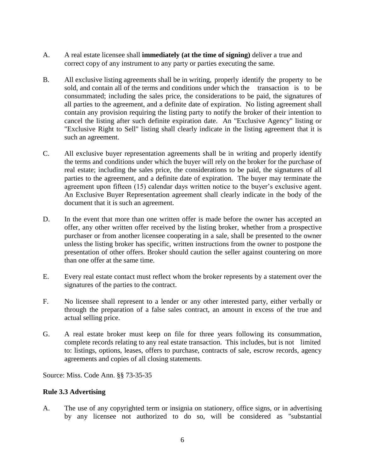- A. A real estate licensee shall **immediately (at the time of signing)** deliver a true and correct copy of any instrument to any party or parties executing the same.
- B. All exclusive listing agreements shall be in writing, properly identify the property to be sold, and contain all of the terms and conditions under which the transaction is to be consummated; including the sales price, the considerations to be paid, the signatures of all parties to the agreement, and a definite date of expiration. No listing agreement shall contain any provision requiring the listing party to notify the broker of their intention to cancel the listing after such definite expiration date. An "Exclusive Agency" listing or "Exclusive Right to Sell" listing shall clearly indicate in the listing agreement that it is such an agreement.
- C. All exclusive buyer representation agreements shall be in writing and properly identify the terms and conditions under which the buyer will rely on the broker for the purchase of real estate; including the sales price, the considerations to be paid, the signatures of all parties to the agreement, and a definite date of expiration. The buyer may terminate the agreement upon fifteen (15) calendar days written notice to the buyer's exclusive agent. An Exclusive Buyer Representation agreement shall clearly indicate in the body of the document that it is such an agreement.
- D. In the event that more than one written offer is made before the owner has accepted an offer, any other written offer received by the listing broker, whether from a prospective purchaser or from another licensee cooperating in a sale, shall be presented to the owner unless the listing broker has specific, written instructions from the owner to postpone the presentation of other offers. Broker should caution the seller against countering on more than one offer at the same time.
- E. Every real estate contact must reflect whom the broker represents by a statement over the signatures of the parties to the contract.
- F. No licensee shall represent to a lender or any other interested party, either verbally or through the preparation of a false sales contract, an amount in excess of the true and actual selling price.
- G. A real estate broker must keep on file for three years following its consummation, complete records relating to any real estate transaction. This includes, but is not limited to: listings, options, leases, offers to purchase, contracts of sale, escrow records, agency agreements and copies of all closing statements.

Source: Miss. Code Ann. §§ 73-35-35

#### **Rule 3.3 Advertising**

A. The use of any copyrighted term or insignia on stationery, office signs, or in advertising by any licensee not authorized to do so, will be considered as "substantial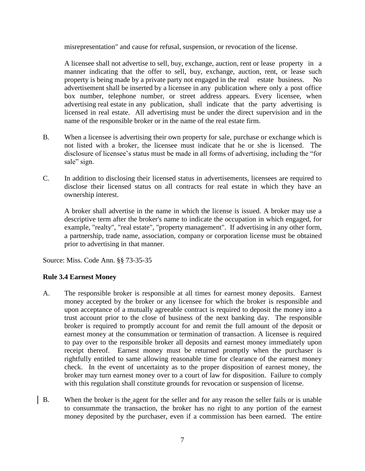misrepresentation" and cause for refusal, suspension, or revocation of the license.

A licensee shall not advertise to sell, buy, exchange, auction, rent or lease property in a manner indicating that the offer to sell, buy, exchange, auction, rent, or lease such property is being made by a private party not engaged in the real estate business. No advertisement shall be inserted by a licensee in any publication where only a post office box number, telephone number, or street address appears. Every licensee, when advertising real estate in any publication, shall indicate that the party advertising is licensed in real estate. All advertising must be under the direct supervision and in the name of the responsible broker or in the name of the real estate firm.

- B. When a licensee is advertising their own property for sale, purchase or exchange which is not listed with a broker, the licensee must indicate that he or she is licensed. The disclosure of licensee's status must be made in all forms of advertising, including the "for sale" sign.
- C. In addition to disclosing their licensed status in advertisements, licensees are required to disclose their licensed status on all contracts for real estate in which they have an ownership interest.

A broker shall advertise in the name in which the license is issued. A broker may use a descriptive term after the broker's name to indicate the occupation in which engaged, for example, "realty", "real estate", "property management". If advertising in any other form, a partnership, trade name, association, company or corporation license must be obtained prior to advertising in that manner.

Source: Miss. Code Ann. §§ 73-35-35

### **Rule 3.4 Earnest Money**

- A. The responsible broker is responsible at all times for earnest money deposits. Earnest money accepted by the broker or any licensee for which the broker is responsible and upon acceptance of a mutually agreeable contract is required to deposit the money into a trust account prior to the close of business of the next banking day. The responsible broker is required to promptly account for and remit the full amount of the deposit or earnest money at the consummation or termination of transaction. A licensee is required to pay over to the responsible broker all deposits and earnest money immediately upon receipt thereof. Earnest money must be returned promptly when the purchaser is rightfully entitled to same allowing reasonable time for clearance of the earnest money check. In the event of uncertainty as to the proper disposition of earnest money, the broker may turn earnest money over to a court of law for disposition. Failure to comply with this regulation shall constitute grounds for revocation or suspension of license.
- B. When the broker is the agent for the seller and for any reason the seller fails or is unable to consummate the transaction, the broker has no right to any portion of the earnest money deposited by the purchaser, even if a commission has been earned. The entire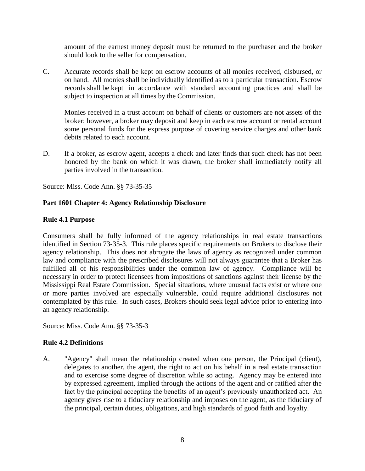amount of the earnest money deposit must be returned to the purchaser and the broker should look to the seller for compensation.

C. Accurate records shall be kept on escrow accounts of all monies received, disbursed, or on hand. All monies shall be individually identified as to a particular transaction. Escrow records shall be kept in accordance with standard accounting practices and shall be subject to inspection at all times by the Commission.

Monies received in a trust account on behalf of clients or customers are not assets of the broker; however, a broker may deposit and keep in each escrow account or rental account some personal funds for the express purpose of covering service charges and other bank debits related to each account.

D. If a broker, as escrow agent, accepts a check and later finds that such check has not been honored by the bank on which it was drawn, the broker shall immediately notify all parties involved in the transaction.

Source: Miss. Code Ann. §§ 73-35-35

### **Part 1601 Chapter 4: Agency Relationship Disclosure**

### **Rule 4.1 Purpose**

Consumers shall be fully informed of the agency relationships in real estate transactions identified in Section 73-35-3. This rule places specific requirements on Brokers to disclose their agency relationship. This does not abrogate the laws of agency as recognized under common law and compliance with the prescribed disclosures will not always guarantee that a Broker has fulfilled all of his responsibilities under the common law of agency. Compliance will be necessary in order to protect licensees from impositions of sanctions against their license by the Mississippi Real Estate Commission. Special situations, where unusual facts exist or where one or more parties involved are especially vulnerable, could require additional disclosures not contemplated by this rule. In such cases, Brokers should seek legal advice prior to entering into an agency relationship.

Source: Miss. Code Ann. §§ 73-35-3

### **Rule 4.2 Definitions**

A. "Agency" shall mean the relationship created when one person, the Principal (client), delegates to another, the agent, the right to act on his behalf in a real estate transaction and to exercise some degree of discretion while so acting. Agency may be entered into by expressed agreement, implied through the actions of the agent and or ratified after the fact by the principal accepting the benefits of an agent's previously unauthorized act. An agency gives rise to a fiduciary relationship and imposes on the agent, as the fiduciary of the principal, certain duties, obligations, and high standards of good faith and loyalty.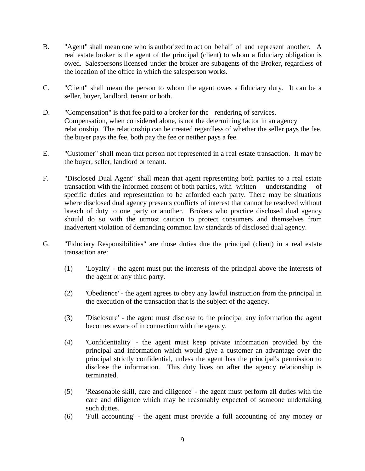- B. "Agent" shall mean one who is authorized to act on behalf of and represent another. A real estate broker is the agent of the principal (client) to whom a fiduciary obligation is owed. Salespersons licensed under the broker are subagents of the Broker, regardless of the location of the office in which the salesperson works.
- C. "Client" shall mean the person to whom the agent owes a fiduciary duty. It can be a seller, buyer, landlord, tenant or both.
- D. "Compensation" is that fee paid to a broker for the rendering of services. Compensation, when considered alone, is not the determining factor in an agency relationship. The relationship can be created regardless of whether the seller pays the fee, the buyer pays the fee, both pay the fee or neither pays a fee.
- E. "Customer" shall mean that person not represented in a real estate transaction. It may be the buyer, seller, landlord or tenant.
- F. "Disclosed Dual Agent" shall mean that agent representing both parties to a real estate transaction with the informed consent of both parties, with written understanding of specific duties and representation to be afforded each party. There may be situations where disclosed dual agency presents conflicts of interest that cannot be resolved without breach of duty to one party or another. Brokers who practice disclosed dual agency should do so with the utmost caution to protect consumers and themselves from inadvertent violation of demanding common law standards of disclosed dual agency.
- G. "Fiduciary Responsibilities" are those duties due the principal (client) in a real estate transaction are:
	- (1) 'Loyalty' the agent must put the interests of the principal above the interests of the agent or any third party.
	- (2) 'Obedience' the agent agrees to obey any lawful instruction from the principal in the execution of the transaction that is the subject of the agency.
	- (3) 'Disclosure' the agent must disclose to the principal any information the agent becomes aware of in connection with the agency.
	- (4) 'Confidentiality' the agent must keep private information provided by the principal and information which would give a customer an advantage over the principal strictly confidential, unless the agent has the principal's permission to disclose the information. This duty lives on after the agency relationship is terminated.
	- (5) 'Reasonable skill, care and diligence' the agent must perform all duties with the care and diligence which may be reasonably expected of someone undertaking such duties.
	- (6) 'Full accounting' the agent must provide a full accounting of any money or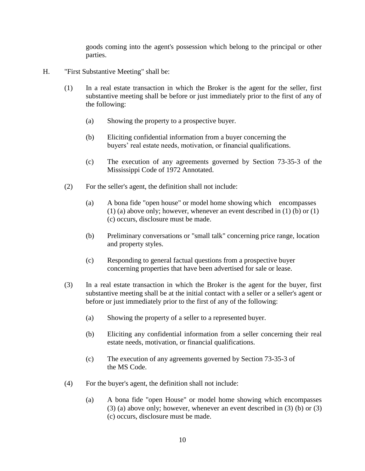goods coming into the agent's possession which belong to the principal or other parties.

- H. "First Substantive Meeting" shall be:
	- (1) In a real estate transaction in which the Broker is the agent for the seller, first substantive meeting shall be before or just immediately prior to the first of any of the following:
		- (a) Showing the property to a prospective buyer.
		- (b) Eliciting confidential information from a buyer concerning the buyers' real estate needs, motivation, or financial qualifications.
		- (c) The execution of any agreements governed by Section 73-35-3 of the Mississippi Code of 1972 Annotated.
	- (2) For the seller's agent, the definition shall not include:
		- (a) A bona fide "open house" or model home showing which encompasses (1) (a) above only; however, whenever an event described in (1) (b) or (1) (c) occurs, disclosure must be made.
		- (b) Preliminary conversations or "small talk" concerning price range, location and property styles.
		- (c) Responding to general factual questions from a prospective buyer concerning properties that have been advertised for sale or lease.
	- (3) In a real estate transaction in which the Broker is the agent for the buyer, first substantive meeting shall be at the initial contact with a seller or a seller's agent or before or just immediately prior to the first of any of the following:
		- (a) Showing the property of a seller to a represented buyer.
		- (b) Eliciting any confidential information from a seller concerning their real estate needs, motivation, or financial qualifications.
		- (c) The execution of any agreements governed by Section 73-35-3 of the MS Code.
	- (4) For the buyer's agent, the definition shall not include:
		- (a) A bona fide "open House" or model home showing which encompasses (3) (a) above only; however, whenever an event described in (3) (b) or (3) (c) occurs, disclosure must be made.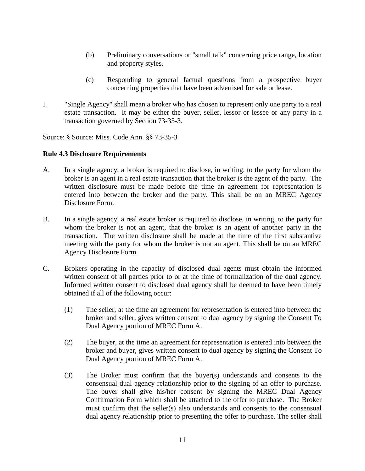- (b) Preliminary conversations or "small talk" concerning price range, location and property styles.
- (c) Responding to general factual questions from a prospective buyer concerning properties that have been advertised for sale or lease.
- I. "Single Agency" shall mean a broker who has chosen to represent only one party to a real estate transaction. It may be either the buyer, seller, lessor or lessee or any party in a transaction governed by Section 73-35-3.

Source: § Source: Miss. Code Ann. §§ 73-35-3

#### **Rule 4.3 Disclosure Requirements**

- A. In a single agency, a broker is required to disclose, in writing, to the party for whom the broker is an agent in a real estate transaction that the broker is the agent of the party. The written disclosure must be made before the time an agreement for representation is entered into between the broker and the party. This shall be on an MREC Agency Disclosure Form.
- B. In a single agency, a real estate broker is required to disclose, in writing, to the party for whom the broker is not an agent, that the broker is an agent of another party in the transaction. The written disclosure shall be made at the time of the first substantive meeting with the party for whom the broker is not an agent. This shall be on an MREC Agency Disclosure Form.
- C. Brokers operating in the capacity of disclosed dual agents must obtain the informed written consent of all parties prior to or at the time of formalization of the dual agency. Informed written consent to disclosed dual agency shall be deemed to have been timely obtained if all of the following occur:
	- (1) The seller, at the time an agreement for representation is entered into between the broker and seller, gives written consent to dual agency by signing the Consent To Dual Agency portion of MREC Form A.
	- (2) The buyer, at the time an agreement for representation is entered into between the broker and buyer, gives written consent to dual agency by signing the Consent To Dual Agency portion of MREC Form A.
	- (3) The Broker must confirm that the buyer(s) understands and consents to the consensual dual agency relationship prior to the signing of an offer to purchase. The buyer shall give his/her consent by signing the MREC Dual Agency Confirmation Form which shall be attached to the offer to purchase. The Broker must confirm that the seller(s) also understands and consents to the consensual dual agency relationship prior to presenting the offer to purchase. The seller shall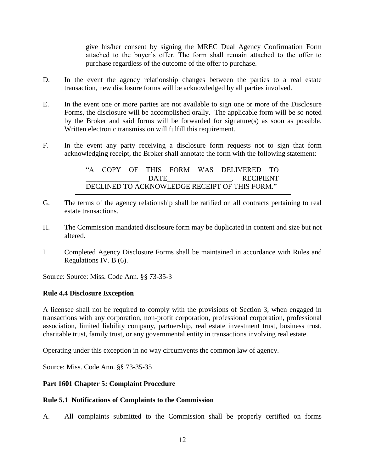give his/her consent by signing the MREC Dual Agency Confirmation Form attached to the buyer's offer. The form shall remain attached to the offer to purchase regardless of the outcome of the offer to purchase.

- D. In the event the agency relationship changes between the parties to a real estate transaction, new disclosure forms will be acknowledged by all parties involved.
- E. In the event one or more parties are not available to sign one or more of the Disclosure Forms, the disclosure will be accomplished orally. The applicable form will be so noted by the Broker and said forms will be forwarded for signature(s) as soon as possible. Written electronic transmission will fulfill this requirement.
- F. In the event any party receiving a disclosure form requests not to sign that form acknowledging receipt, the Broker shall annotate the form with the following statement:

"A COPY OF THIS FORM WAS DELIVERED TO \_\_\_\_\_\_\_\_\_\_\_\_\_\_\_ DATE\_\_\_\_\_\_\_\_\_\_\_\_\_\_\_\_\_\_. RECIPIENT DECLINED TO ACKNOWLEDGE RECEIPT OF THIS FORM."

- G. The terms of the agency relationship shall be ratified on all contracts pertaining to real estate transactions.
- H. The Commission mandated disclosure form may be duplicated in content and size but not altered.
- I. Completed Agency Disclosure Forms shall be maintained in accordance with Rules and Regulations IV. B (6).

Source: Source: Miss. Code Ann. §§ 73-35-3

#### **Rule 4.4 Disclosure Exception**

A licensee shall not be required to comply with the provisions of Section 3, when engaged in transactions with any corporation, non-profit corporation, professional corporation, professional association, limited liability company, partnership, real estate investment trust, business trust, charitable trust, family trust, or any governmental entity in transactions involving real estate.

Operating under this exception in no way circumvents the common law of agency.

Source: Miss. Code Ann. §§ 73-35-35

#### **Part 1601 Chapter 5: Complaint Procedure**

#### **Rule 5.1 Notifications of Complaints to the Commission**

A. All complaints submitted to the Commission shall be properly certified on forms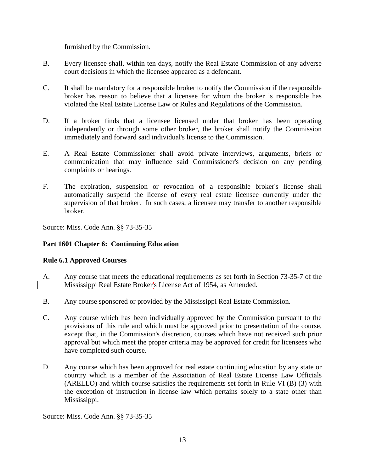furnished by the Commission.

- B. Every licensee shall, within ten days, notify the Real Estate Commission of any adverse court decisions in which the licensee appeared as a defendant.
- C. It shall be mandatory for a responsible broker to notify the Commission if the responsible broker has reason to believe that a licensee for whom the broker is responsible has violated the Real Estate License Law or Rules and Regulations of the Commission.
- D. If a broker finds that a licensee licensed under that broker has been operating independently or through some other broker, the broker shall notify the Commission immediately and forward said individual's license to the Commission.
- E. A Real Estate Commissioner shall avoid private interviews, arguments, briefs or communication that may influence said Commissioner's decision on any pending complaints or hearings.
- F. The expiration, suspension or revocation of a responsible broker's license shall automatically suspend the license of every real estate licensee currently under the supervision of that broker. In such cases, a licensee may transfer to another responsible broker.

Source: Miss. Code Ann. §§ 73-35-35

### **Part 1601 Chapter 6: Continuing Education**

#### **Rule 6.1 Approved Courses**

- A. Any course that meets the educational requirements as set forth in Section 73-35-7 of the Mississippi Real Estate Broker's License Act of 1954, as Amended.
- B. Any course sponsored or provided by the Mississippi Real Estate Commission.
- C. Any course which has been individually approved by the Commission pursuant to the provisions of this rule and which must be approved prior to presentation of the course, except that, in the Commission's discretion, courses which have not received such prior approval but which meet the proper criteria may be approved for credit for licensees who have completed such course.
- D. Any course which has been approved for real estate continuing education by any state or country which is a member of the Association of Real Estate License Law Officials (ARELLO) and which course satisfies the requirements set forth in Rule VI (B) (3) with the exception of instruction in license law which pertains solely to a state other than Mississippi.

Source: Miss. Code Ann. §§ 73-35-35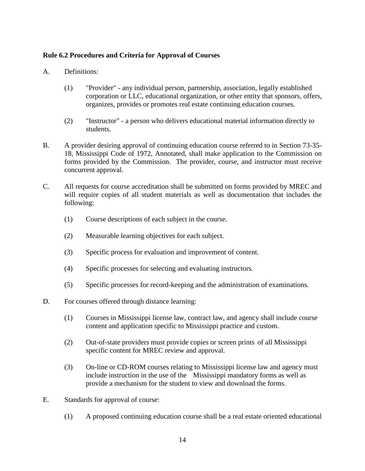### **Rule 6.2 Procedures and Criteria for Approval of Courses**

- A. Definitions:
	- (1) "Provider" any individual person, partnership, association, legally established corporation or LLC, educational organization, or other entity that sponsors, offers, organizes, provides or promotes real estate continuing education courses.
	- (2) "Instructor" a person who delivers educational material information directly to students.
- B. A provider desiring approval of continuing education course referred to in Section 73-35- 18, Mississippi Code of 1972, Annotated, shall make application to the Commission on forms provided by the Commission. The provider, course, and instructor must receive concurrent approval.
- C. All requests for course accreditation shall be submitted on forms provided by MREC and will require copies of all student materials as well as documentation that includes the following:
	- (1) Course descriptions of each subject in the course.
	- (2) Measurable learning objectives for each subject.
	- (3) Specific process for evaluation and improvement of content.
	- (4) Specific processes for selecting and evaluating instructors.
	- (5) Specific processes for record-keeping and the administration of examinations.
- D. For courses offered through distance learning:
	- (1) Courses in Mississippi license law, contract law, and agency shall include course content and application specific to Mississippi practice and custom.
	- (2) Out-of-state providers must provide copies or screen prints of all Mississippi specific content for MREC review and approval.
	- (3) On-line or CD-ROM courses relating to Mississippi license law and agency must include instruction in the use of the Mississippi mandatory forms as well as provide a mechanism for the student to view and download the forms.
- E. Standards for approval of course:
	- (1) A proposed continuing education course shall be a real estate oriented educational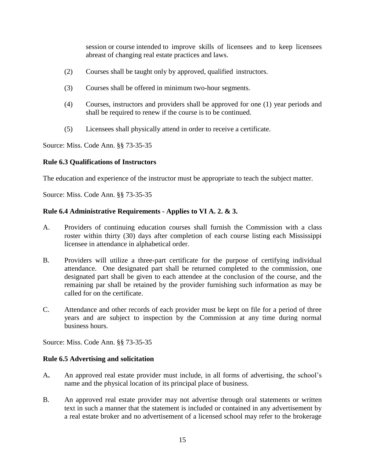session or course intended to improve skills of licensees and to keep licensees abreast of changing real estate practices and laws.

- (2) Courses shall be taught only by approved, qualified instructors.
- (3) Courses shall be offered in minimum two-hour segments.
- (4) Courses, instructors and providers shall be approved for one (1) year periods and shall be required to renew if the course is to be continued.
- (5) Licensees shall physically attend in order to receive a certificate.

Source: Miss. Code Ann. §§ 73-35-35

### **Rule 6.3 Qualifications of Instructors**

The education and experience of the instructor must be appropriate to teach the subject matter.

Source: Miss. Code Ann. §§ 73-35-35

### **Rule 6.4 Administrative Requirements - Applies to VI A. 2. & 3.**

- A. Providers of continuing education courses shall furnish the Commission with a class roster within thirty (30) days after completion of each course listing each Mississippi licensee in attendance in alphabetical order.
- B. Providers will utilize a three-part certificate for the purpose of certifying individual attendance. One designated part shall be returned completed to the commission, one designated part shall be given to each attendee at the conclusion of the course, and the remaining par shall be retained by the provider furnishing such information as may be called for on the certificate.
- C. Attendance and other records of each provider must be kept on file for a period of three years and are subject to inspection by the Commission at any time during normal business hours.

Source: Miss. Code Ann. §§ 73-35-35

#### **Rule 6.5 Advertising and solicitation**

- A**.** An approved real estate provider must include, in all forms of advertising, the school's name and the physical location of its principal place of business.
- B. An approved real estate provider may not advertise through oral statements or written text in such a manner that the statement is included or contained in any advertisement by a real estate broker and no advertisement of a licensed school may refer to the brokerage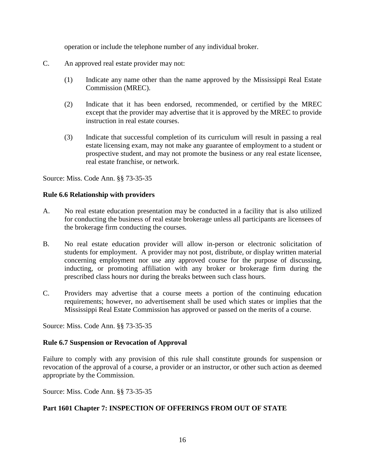operation or include the telephone number of any individual broker.

- C. An approved real estate provider may not:
	- (1) Indicate any name other than the name approved by the Mississippi Real Estate Commission (MREC).
	- (2) Indicate that it has been endorsed, recommended, or certified by the MREC except that the provider may advertise that it is approved by the MREC to provide instruction in real estate courses.
	- (3) Indicate that successful completion of its curriculum will result in passing a real estate licensing exam, may not make any guarantee of employment to a student or prospective student, and may not promote the business or any real estate licensee, real estate franchise, or network.

Source: Miss. Code Ann. §§ 73-35-35

#### **Rule 6.6 Relationship with providers**

- A. No real estate education presentation may be conducted in a facility that is also utilized for conducting the business of real estate brokerage unless all participants are licensees of the brokerage firm conducting the courses.
- B. No real estate education provider will allow in-person or electronic solicitation of students for employment. A provider may not post, distribute, or display written material concerning employment nor use any approved course for the purpose of discussing, inducting, or promoting affiliation with any broker or brokerage firm during the prescribed class hours nor during the breaks between such class hours.
- C. Providers may advertise that a course meets a portion of the continuing education requirements; however, no advertisement shall be used which states or implies that the Mississippi Real Estate Commission has approved or passed on the merits of a course.

Source: Miss. Code Ann. §§ 73-35-35

#### **Rule 6.7 Suspension or Revocation of Approval**

Failure to comply with any provision of this rule shall constitute grounds for suspension or revocation of the approval of a course, a provider or an instructor, or other such action as deemed appropriate by the Commission.

Source: Miss. Code Ann. §§ 73-35-35

#### **Part 1601 Chapter 7: INSPECTION OF OFFERINGS FROM OUT OF STATE**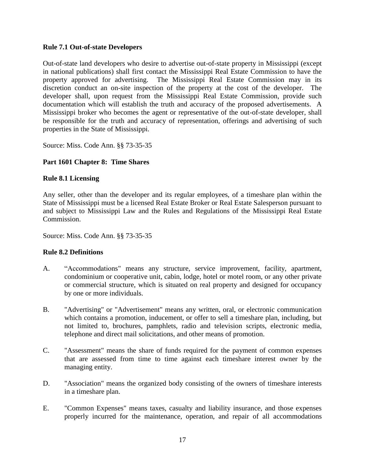### **Rule 7.1 Out-of-state Developers**

Out-of-state land developers who desire to advertise out-of-state property in Mississippi (except in national publications) shall first contact the Mississippi Real Estate Commission to have the property approved for advertising. The Mississippi Real Estate Commission may in its discretion conduct an on-site inspection of the property at the cost of the developer. The developer shall, upon request from the Mississippi Real Estate Commission, provide such documentation which will establish the truth and accuracy of the proposed advertisements. A Mississippi broker who becomes the agent or representative of the out-of-state developer, shall be responsible for the truth and accuracy of representation, offerings and advertising of such properties in the State of Mississippi.

Source: Miss. Code Ann. §§ 73-35-35

### **Part 1601 Chapter 8: Time Shares**

### **Rule 8.1 Licensing**

Any seller, other than the developer and its regular employees, of a timeshare plan within the State of Mississippi must be a licensed Real Estate Broker or Real Estate Salesperson pursuant to and subject to Mississippi Law and the Rules and Regulations of the Mississippi Real Estate Commission.

Source: Miss. Code Ann. §§ 73-35-35

#### **Rule 8.2 Definitions**

- A. "Accommodations" means any structure, service improvement, facility, apartment, condominium or cooperative unit, cabin, lodge, hotel or motel room, or any other private or commercial structure, which is situated on real property and designed for occupancy by one or more individuals.
- B. "Advertising" or "Advertisement" means any written, oral, or electronic communication which contains a promotion, inducement, or offer to sell a timeshare plan, including, but not limited to, brochures, pamphlets, radio and television scripts, electronic media, telephone and direct mail solicitations, and other means of promotion.
- C. "Assessment" means the share of funds required for the payment of common expenses that are assessed from time to time against each timeshare interest owner by the managing entity.
- D. "Association" means the organized body consisting of the owners of timeshare interests in a timeshare plan.
- E. "Common Expenses" means taxes, casualty and liability insurance, and those expenses properly incurred for the maintenance, operation, and repair of all accommodations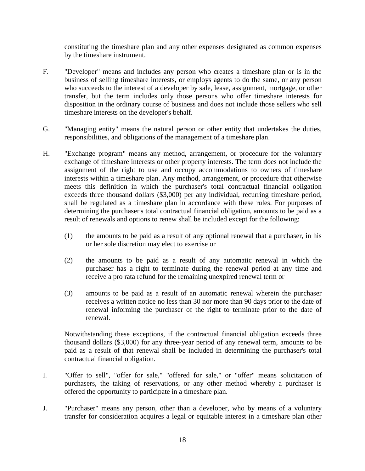constituting the timeshare plan and any other expenses designated as common expenses by the timeshare instrument.

- F. "Developer" means and includes any person who creates a timeshare plan or is in the business of selling timeshare interests, or employs agents to do the same, or any person who succeeds to the interest of a developer by sale, lease, assignment, mortgage, or other transfer, but the term includes only those persons who offer timeshare interests for disposition in the ordinary course of business and does not include those sellers who sell timeshare interests on the developer's behalf.
- G. "Managing entity" means the natural person or other entity that undertakes the duties, responsibilities, and obligations of the management of a timeshare plan.
- H. "Exchange program" means any method, arrangement, or procedure for the voluntary exchange of timeshare interests or other property interests. The term does not include the assignment of the right to use and occupy accommodations to owners of timeshare interests within a timeshare plan. Any method, arrangement, or procedure that otherwise meets this definition in which the purchaser's total contractual financial obligation exceeds three thousand dollars (\$3,000) per any individual, recurring timeshare period, shall be regulated as a timeshare plan in accordance with these rules. For purposes of determining the purchaser's total contractual financial obligation, amounts to be paid as a result of renewals and options to renew shall be included except for the following:
	- (1) the amounts to be paid as a result of any optional renewal that a purchaser, in his or her sole discretion may elect to exercise or
	- (2) the amounts to be paid as a result of any automatic renewal in which the purchaser has a right to terminate during the renewal period at any time and receive a pro rata refund for the remaining unexpired renewal term or
	- (3) amounts to be paid as a result of an automatic renewal wherein the purchaser receives a written notice no less than 30 nor more than 90 days prior to the date of renewal informing the purchaser of the right to terminate prior to the date of renewal.

Notwithstanding these exceptions, if the contractual financial obligation exceeds three thousand dollars (\$3,000) for any three-year period of any renewal term, amounts to be paid as a result of that renewal shall be included in determining the purchaser's total contractual financial obligation.

- I. "Offer to sell", "offer for sale," "offered for sale," or "offer" means solicitation of purchasers, the taking of reservations, or any other method whereby a purchaser is offered the opportunity to participate in a timeshare plan.
- J. "Purchaser" means any person, other than a developer, who by means of a voluntary transfer for consideration acquires a legal or equitable interest in a timeshare plan other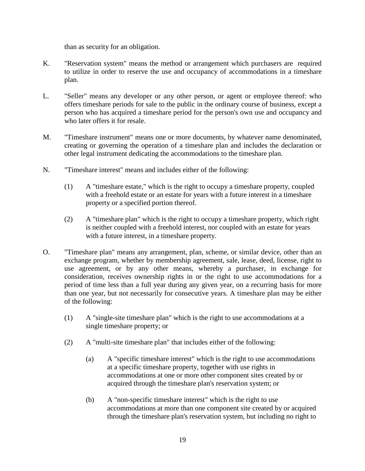than as security for an obligation.

- K. "Reservation system" means the method or arrangement which purchasers are required to utilize in order to reserve the use and occupancy of accommodations in a timeshare plan.
- L. "Seller" means any developer or any other person, or agent or employee thereof: who offers timeshare periods for sale to the public in the ordinary course of business, except a person who has acquired a timeshare period for the person's own use and occupancy and who later offers it for resale.
- M. "Timeshare instrument" means one or more documents, by whatever name denominated, creating or governing the operation of a timeshare plan and includes the declaration or other legal instrument dedicating the accommodations to the timeshare plan.
- N. "Timeshare interest" means and includes either of the following:
	- (1) A "timeshare estate," which is the right to occupy a timeshare property, coupled with a freehold estate or an estate for years with a future interest in a timeshare property or a specified portion thereof.
	- (2) A "timeshare plan" which is the right to occupy a timeshare property, which right is neither coupled with a freehold interest, nor coupled with an estate for years with a future interest, in a timeshare property.
- O. "Timeshare plan" means any arrangement, plan, scheme, or similar device, other than an exchange program, whether by membership agreement, sale, lease, deed, license, right to use agreement, or by any other means, whereby a purchaser, in exchange for consideration, receives ownership rights in or the right to use accommodations for a period of time less than a full year during any given year, on a recurring basis for more than one year, but not necessarily for consecutive years. A timeshare plan may be either of the following:
	- (1) A "single-site timeshare plan" which is the right to use accommodations at a single timeshare property; or
	- (2) A "multi-site timeshare plan" that includes either of the following:
		- (a) A "specific timeshare interest" which is the right to use accommodations at a specific timeshare property, together with use rights in accommodations at one or more other component sites created by or acquired through the timeshare plan's reservation system; or
		- (b) A "non-specific timeshare interest" which is the right to use accommodations at more than one component site created by or acquired through the timeshare plan's reservation system, but including no right to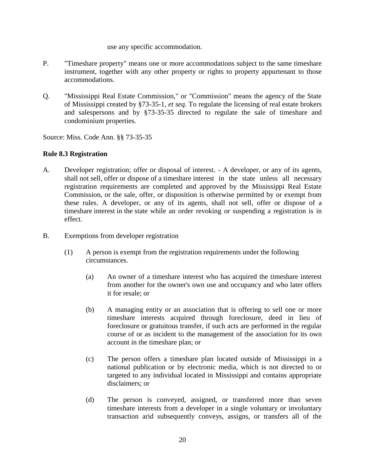#### use any specific accommodation.

- P. "Timeshare property" means one or more accommodations subject to the same timeshare instrument, together with any other property or rights to property appurtenant to those accommodations.
- Q. "Mississippi Real Estate Commission," or "Commission" means the agency of the State of Mississippi created by §73-35-1, *et seq.* To regulate the licensing of real estate brokers and salespersons and by §73-35-35 directed to regulate the sale of timeshare and condominium properties.

Source: Miss. Code Ann. §§ 73-35-35

### **Rule 8.3 Registration**

- A. Developer registration; offer or disposal of interest. A developer, or any of its agents, shall not sell, offer or dispose of a timeshare interest in the state unless all necessary registration requirements are completed and approved by the Mississippi Real Estate Commission, or the sale, offer, or disposition is otherwise permitted by or exempt from these rules. A developer, or any of its agents, shall not sell, offer or dispose of a timeshare interest in the state while an order revoking or suspending a registration is in effect.
- B. Exemptions from developer registration
	- (1) A person is exempt from the registration requirements under the following circumstances.
		- (a) An owner of a timeshare interest who has acquired the timeshare interest from another for the owner's own use and occupancy and who later offers it for resale; or
		- (b) A managing entity or an association that is offering to sell one or more timeshare interests acquired through foreclosure, deed in lieu of foreclosure or gratuitous transfer, if such acts are performed in the regular course of or as incident to the management of the association for its own account in the timeshare plan; or
		- (c) The person offers a timeshare plan located outside of Mississippi in a national publication or by electronic media, which is not directed to or targeted to any individual located in Mississippi and contains appropriate disclaimers; or
		- (d) The person is conveyed, assigned, or transferred more than seven timeshare interests from a developer in a single voluntary or involuntary transaction arid subsequently conveys, assigns, or transfers all of the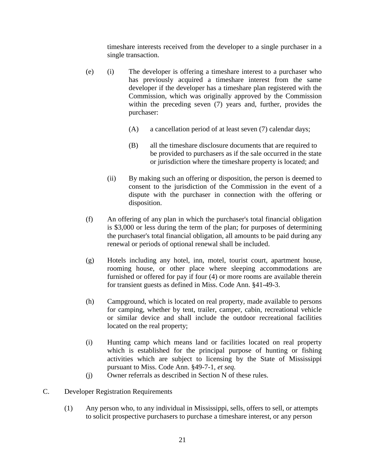timeshare interests received from the developer to a single purchaser in a single transaction.

- (e) (i) The developer is offering a timeshare interest to a purchaser who has previously acquired a timeshare interest from the same developer if the developer has a timeshare plan registered with the Commission, which was originally approved by the Commission within the preceding seven (7) years and, further, provides the purchaser:
	- (A) a cancellation period of at least seven (7) calendar days;
	- (B) all the timeshare disclosure documents that are required to be provided to purchasers as if the sale occurred in the state or jurisdiction where the timeshare property is located; and
	- (ii) By making such an offering or disposition, the person is deemed to consent to the jurisdiction of the Commission in the event of a dispute with the purchaser in connection with the offering or disposition.
- (f) An offering of any plan in which the purchaser's total financial obligation is \$3,000 or less during the term of the plan; for purposes of determining the purchaser's total financial obligation, all amounts to be paid during any renewal or periods of optional renewal shall be included.
- (g) Hotels including any hotel, inn, motel, tourist court, apartment house, rooming house, or other place where sleeping accommodations are furnished or offered for pay if four (4) or more rooms are available therein for transient guests as defined in Miss. Code Ann. §41-49-3.
- (h) Campground, which is located on real property, made available to persons for camping, whether by tent, trailer, camper, cabin, recreational vehicle or similar device and shall include the outdoor recreational facilities located on the real property;
- (i) Hunting camp which means land or facilities located on real property which is established for the principal purpose of hunting or fishing activities which are subject to licensing by the State of Mississippi pursuant to Miss. Code Ann. §49-7-1, *et seq.*
- (j) Owner referrals as described in Section N of these rules.
- C. Developer Registration Requirements
	- (1) Any person who, to any individual in Mississippi, sells, offers to sell, or attempts to solicit prospective purchasers to purchase a timeshare interest, or any person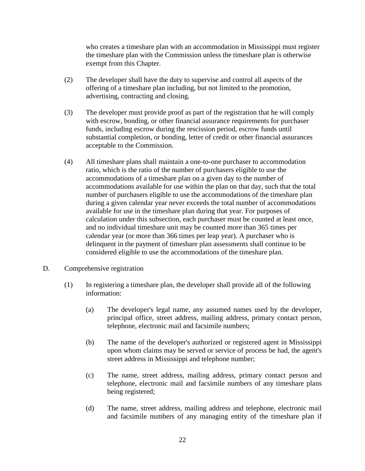who creates a timeshare plan with an accommodation in Mississippi must register the timeshare plan with the Commission unless the timeshare plan is otherwise exempt from this Chapter.

- (2) The developer shall have the duty to supervise and control all aspects of the offering of a timeshare plan including, but not limited to the promotion, advertising, contracting and closing.
- (3) The developer must provide proof as part of the registration that he will comply with escrow, bonding, or other financial assurance requirements for purchaser funds, including escrow during the rescission period, escrow funds until substantial completion, or bonding, letter of credit or other financial assurances acceptable to the Commission.
- (4) All timeshare plans shall maintain a one-to-one purchaser to accommodation ratio, which is the ratio of the number of purchasers eligible to use the accommodations of a timeshare plan on a given day to the number of accommodations available for use within the plan on that day, such that the total number of purchasers eligible to use the accommodations of the timeshare plan during a given calendar year never exceeds the total number of accommodations available for use in the timeshare plan during that year. For purposes of calculation under this subsection, each purchaser must be counted at least once, and no individual timeshare unit may be counted more than 365 times per calendar year (or more than 366 times per leap year). A purchaser who is delinquent in the payment of timeshare plan assessments shall continue to be considered eligible to use the accommodations of the timeshare plan.
- D. Comprehensive registration
	- (1) In registering a timeshare plan, the developer shall provide all of the following information:
		- (a) The developer's legal name, any assumed names used by the developer, principal office, street address, mailing address, primary contact person, telephone, electronic mail and facsimile numbers;
		- (b) The name of the developer's authorized or registered agent in Mississippi upon whom claims may be served or service of process be had, the agent's street address in Mississippi and telephone number;
		- (c) The name, street address, mailing address, primary contact person and telephone, electronic mail and facsimile numbers of any timeshare plans being registered;
		- (d) The name, street address, mailing address and telephone, electronic mail and facsimile numbers of any managing entity of the timeshare plan if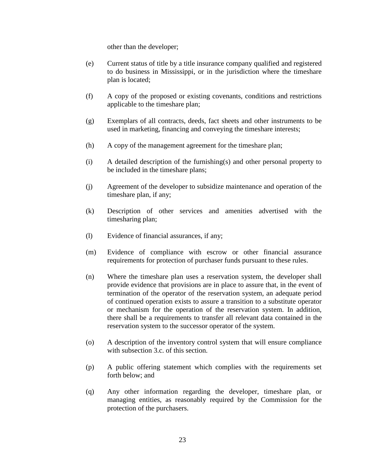other than the developer;

- (e) Current status of title by a title insurance company qualified and registered to do business in Mississippi, or in the jurisdiction where the timeshare plan is located;
- (f) A copy of the proposed or existing covenants, conditions and restrictions applicable to the timeshare plan;
- (g) Exemplars of all contracts, deeds, fact sheets and other instruments to be used in marketing, financing and conveying the timeshare interests;
- (h) A copy of the management agreement for the timeshare plan;
- (i) A detailed description of the furnishing(s) and other personal property to be included in the timeshare plans;
- (j) Agreement of the developer to subsidize maintenance and operation of the timeshare plan, if any;
- (k) Description of other services and amenities advertised with the timesharing plan;
- (l) Evidence of financial assurances, if any;
- (m) Evidence of compliance with escrow or other financial assurance requirements for protection of purchaser funds pursuant to these rules.
- (n) Where the timeshare plan uses a reservation system, the developer shall provide evidence that provisions are in place to assure that, in the event of termination of the operator of the reservation system, an adequate period of continued operation exists to assure a transition to a substitute operator or mechanism for the operation of the reservation system. In addition, there shall be a requirements to transfer all relevant data contained in the reservation system to the successor operator of the system.
- (o) A description of the inventory control system that will ensure compliance with subsection 3.c. of this section.
- (p) A public offering statement which complies with the requirements set forth below; and
- (q) Any other information regarding the developer, timeshare plan, or managing entities, as reasonably required by the Commission for the protection of the purchasers.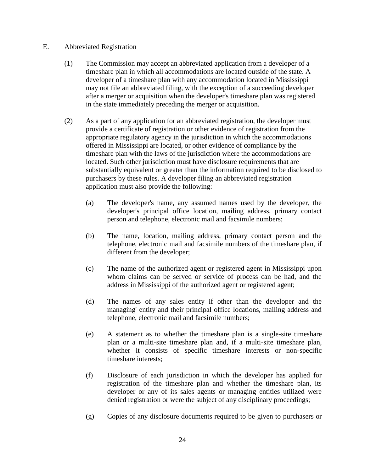#### E. Abbreviated Registration

- (1) The Commission may accept an abbreviated application from a developer of a timeshare plan in which all accommodations are located outside of the state. A developer of a timeshare plan with any accommodation located in Mississippi may not file an abbreviated filing, with the exception of a succeeding developer after a merger or acquisition when the developer's timeshare plan was registered in the state immediately preceding the merger or acquisition.
- (2) As a part of any application for an abbreviated registration, the developer must provide a certificate of registration or other evidence of registration from the appropriate regulatory agency in the jurisdiction in which the accommodations offered in Mississippi are located, or other evidence of compliance by the timeshare plan with the laws of the jurisdiction where the accommodations are located. Such other jurisdiction must have disclosure requirements that are substantially equivalent or greater than the information required to be disclosed to purchasers by these rules. A developer filing an abbreviated registration application must also provide the following:
	- (a) The developer's name, any assumed names used by the developer, the developer's principal office location, mailing address, primary contact person and telephone, electronic mail and facsimile numbers;
	- (b) The name, location, mailing address, primary contact person and the telephone, electronic mail and facsimile numbers of the timeshare plan, if different from the developer;
	- (c) The name of the authorized agent or registered agent in Mississippi upon whom claims can be served or service of process can be had, and the address in Mississippi of the authorized agent or registered agent;
	- (d) The names of any sales entity if other than the developer and the managing' entity and their principal office locations, mailing address and telephone, electronic mail and facsimile numbers;
	- (e) A statement as to whether the timeshare plan is a single-site timeshare plan or a multi-site timeshare plan and, if a multi-site timeshare plan, whether it consists of specific timeshare interests or non-specific timeshare interests;
	- (f) Disclosure of each jurisdiction in which the developer has applied for registration of the timeshare plan and whether the timeshare plan, its developer or any of its sales agents or managing entities utilized were denied registration or were the subject of any disciplinary proceedings;
	- (g) Copies of any disclosure documents required to be given to purchasers or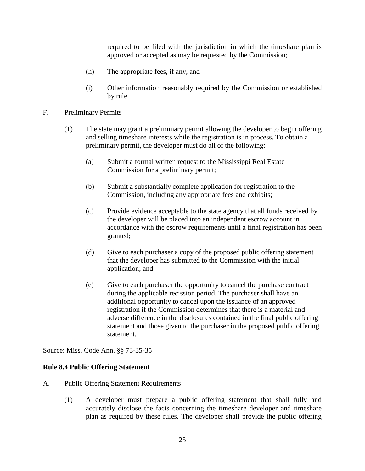required to be filed with the jurisdiction in which the timeshare plan is approved or accepted as may be requested by the Commission;

- (h) The appropriate fees, if any, and
- (i) Other information reasonably required by the Commission or established by rule.
- F. Preliminary Permits
	- (1) The state may grant a preliminary permit allowing the developer to begin offering and selling timeshare interests while the registration is in process. To obtain a preliminary permit, the developer must do all of the following:
		- (a) Submit a formal written request to the Mississippi Real Estate Commission for a preliminary permit;
		- (b) Submit a substantially complete application for registration to the Commission, including any appropriate fees and exhibits;
		- (c) Provide evidence acceptable to the state agency that all funds received by the developer will be placed into an independent escrow account in accordance with the escrow requirements until a final registration has been granted;
		- (d) Give to each purchaser a copy of the proposed public offering statement that the developer has submitted to the Commission with the initial application; and
		- (e) Give to each purchaser the opportunity to cancel the purchase contract during the applicable recission period. The purchaser shall have an additional opportunity to cancel upon the issuance of an approved registration if the Commission determines that there is a material and adverse difference in the disclosures contained in the final public offering statement and those given to the purchaser in the proposed public offering statement.

Source: Miss. Code Ann. §§ 73-35-35

#### **Rule 8.4 Public Offering Statement**

- A. Public Offering Statement Requirements
	- (1) A developer must prepare a public offering statement that shall fully and accurately disclose the facts concerning the timeshare developer and timeshare plan as required by these rules. The developer shall provide the public offering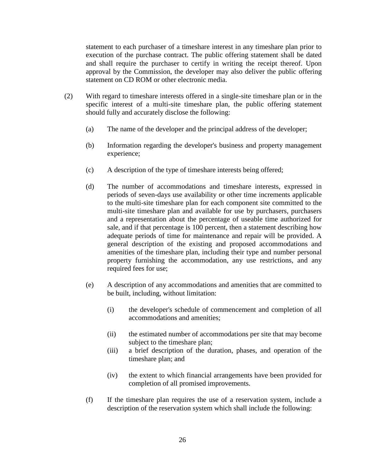statement to each purchaser of a timeshare interest in any timeshare plan prior to execution of the purchase contract. The public offering statement shall be dated and shall require the purchaser to certify in writing the receipt thereof. Upon approval by the Commission, the developer may also deliver the public offering statement on CD ROM or other electronic media.

- (2) With regard to timeshare interests offered in a single-site timeshare plan or in the specific interest of a multi-site timeshare plan, the public offering statement should fully and accurately disclose the following:
	- (a) The name of the developer and the principal address of the developer;
	- (b) Information regarding the developer's business and property management experience;
	- (c) A description of the type of timeshare interests being offered;
	- (d) The number of accommodations and timeshare interests, expressed in periods of seven-days use availability or other time increments applicable to the multi-site timeshare plan for each component site committed to the multi-site timeshare plan and available for use by purchasers, purchasers and a representation about the percentage of useable time authorized for sale, and if that percentage is 100 percent, then a statement describing how adequate periods of time for maintenance and repair will be provided. A general description of the existing and proposed accommodations and amenities of the timeshare plan, including their type and number personal property furnishing the accommodation, any use restrictions, and any required fees for use;
	- (e) A description of any accommodations and amenities that are committed to be built, including, without limitation:
		- (i) the developer's schedule of commencement and completion of all accommodations and amenities;
		- (ii) the estimated number of accommodations per site that may become subject to the timeshare plan;
		- (iii) a brief description of the duration, phases, and operation of the timeshare plan; and
		- (iv) the extent to which financial arrangements have been provided for completion of all promised improvements.
	- (f) If the timeshare plan requires the use of a reservation system, include a description of the reservation system which shall include the following: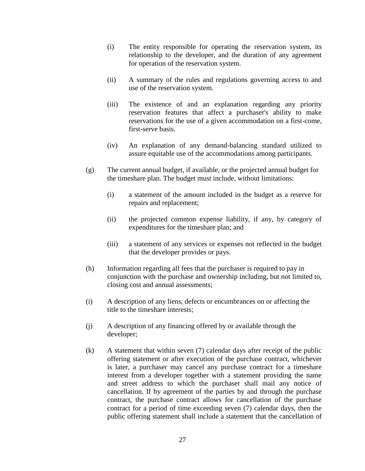- (i) The entity responsible for operating the reservation system, its relationship to the developer, and the duration of any agreement for operation of the reservation system.
- (ii) A summary of the rules and regulations governing access to and use of the reservation system.
- (iii) The existence of and an explanation regarding any priority reservation features that affect a purchaser's ability to make reservations for the use of a given accommodation on a first-come, first-serve basis.
- (iv) An explanation of any demand-balancing standard utilized to assure equitable use of the accommodations among participants.
- (g) The current annual budget, if available, or the projected annual budget for the timeshare plan. The budget must include, without limitations:
	- (i) a statement of the amount included in the budget as a reserve for repairs and replacement;
	- (ii) the projected common expense liability, if any, by category of expenditures for the timeshare plan; and
	- (iii) a statement of any services or expenses not reflected in the budget that the developer provides or pays.
- (h) Information regarding all fees that the purchaser is required to pay in conjunction with the purchase and ownership including, but not limited to, closing cost and annual assessments;
- (i) A description of any liens, defects or encumbrances on or affecting the title to the timeshare interests;
- (j) A description of any financing offered by or available through the developer;
- (k) A statement that within seven (7) calendar days after receipt of the public offering statement or after execution of the purchase contract, whichever is later, a purchaser may cancel any purchase contract for a timeshare interest from a developer together with a statement providing the name and street address to which the purchaser shall mail any notice of cancellation. If by agreement of the parties by and through the purchase contract, the purchase contract allows for cancellation of the purchase contract for a period of time exceeding seven (7) calendar days, then the public offering statement shall include a statement that the cancellation of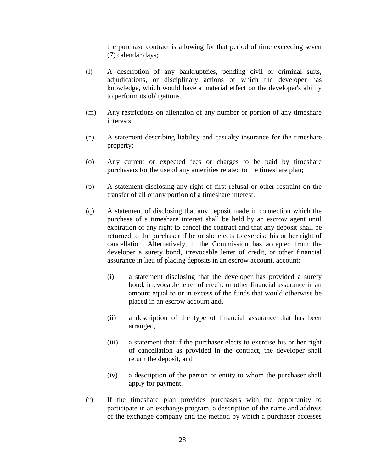the purchase contract is allowing for that period of time exceeding seven (7) calendar days;

- (l) A description of any bankruptcies, pending civil or criminal suits, adjudications, or disciplinary actions of which the developer has knowledge, which would have a material effect on the developer's ability to perform its obligations.
- (m) Any restrictions on alienation of any number or portion of any timeshare interests;
- (n) A statement describing liability and casualty insurance for the timeshare property;
- (o) Any current or expected fees or charges to be paid by timeshare purchasers for the use of any amenities related to the timeshare plan;
- (p) A statement disclosing any right of first refusal or other restraint on the transfer of all or any portion of a timeshare interest.
- (q) A statement of disclosing that any deposit made in connection which the purchase of a timeshare interest shall be held by an escrow agent until expiration of any right to cancel the contract and that any deposit shall be returned to the purchaser if he or she elects to exercise his or her right of cancellation. Alternatively, if the Commission has accepted from the developer a surety bond, irrevocable letter of credit, or other financial assurance in lieu of placing deposits in an escrow account, account:
	- (i) a statement disclosing that the developer has provided a surety bond, irrevocable letter of credit, or other financial assurance in an amount equal to or in excess of the funds that would otherwise be placed in an escrow account and,
	- (ii) a description of the type of financial assurance that has been arranged,
	- (iii) a statement that if the purchaser elects to exercise his or her right of cancellation as provided in the contract, the developer shall return the deposit, and
	- (iv) a description of the person or entity to whom the purchaser shall apply for payment.
- (r) If the timeshare plan provides purchasers with the opportunity to participate in an exchange program, a description of the name and address of the exchange company and the method by which a purchaser accesses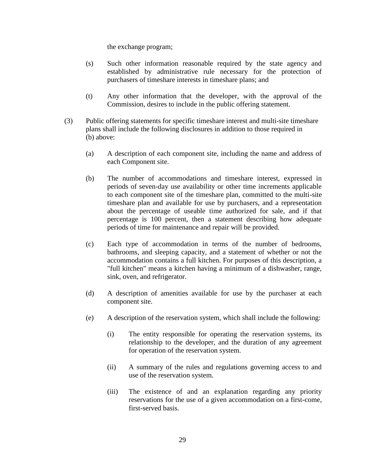the exchange program;

- (s) Such other information reasonable required by the state agency and established by administrative rule necessary for the protection of purchasers of timeshare interests in timeshare plans; and
- (t) Any other information that the developer, with the approval of the Commission, desires to include in the public offering statement.
- (3) Public offering statements for specific timeshare interest and multi-site timeshare plans shall include the following disclosures in addition to those required in (b) above:
	- (a) A description of each component site, including the name and address of each Component site.
	- (b) The number of accommodations and timeshare interest, expressed in periods of seven-day use availability or other time increments applicable to each component site of the timeshare plan, committed to the multi-site timeshare plan and available for use by purchasers, and a representation about the percentage of useable time authorized for sale, and if that percentage is 100 percent, then a statement describing how adequate periods of time for maintenance and repair will be provided.
	- (c) Each type of accommodation in terms of the number of bedrooms, bathrooms, and sleeping capacity, and a statement of whether or not the accommodation contains a full kitchen. For purposes of this description, a "full kitchen" means a kitchen having a minimum of a dishwasher, range, sink, oven, and refrigerator.
	- (d) A description of amenities available for use by the purchaser at each component site.
	- (e) A description of the reservation system, which shall include the following:
		- (i) The entity responsible for operating the reservation systems, its relationship to the developer, and the duration of any agreement for operation of the reservation system.
		- (ii) A summary of the rules and regulations governing access to and use of the reservation system.
		- (iii) The existence of and an explanation regarding any priority reservations for the use of a given accommodation on a first-come, first-served basis.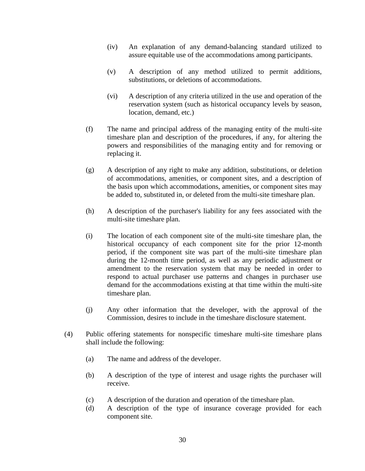- (iv) An explanation of any demand-balancing standard utilized to assure equitable use of the accommodations among participants.
- (v) A description of any method utilized to permit additions, substitutions, or deletions of accommodations.
- (vi) A description of any criteria utilized in the use and operation of the reservation system (such as historical occupancy levels by season, location, demand, etc.)
- (f) The name and principal address of the managing entity of the multi-site timeshare plan and description of the procedures, if any, for altering the powers and responsibilities of the managing entity and for removing or replacing it.
- (g) A description of any right to make any addition, substitutions, or deletion of accommodations, amenities, or component sites, and a description of the basis upon which accommodations, amenities, or component sites may be added to, substituted in, or deleted from the multi-site timeshare plan.
- (h) A description of the purchaser's liability for any fees associated with the multi-site timeshare plan.
- (i) The location of each component site of the multi-site timeshare plan, the historical occupancy of each component site for the prior 12-month period, if the component site was part of the multi-site timeshare plan during the 12-month time period, as well as any periodic adjustment or amendment to the reservation system that may be needed in order to respond to actual purchaser use patterns and changes in purchaser use demand for the accommodations existing at that time within the multi-site timeshare plan.
- (j) Any other information that the developer, with the approval of the Commission, desires to include in the timeshare disclosure statement.
- (4) Public offering statements for nonspecific timeshare multi-site timeshare plans shall include the following:
	- (a) The name and address of the developer.
	- (b) A description of the type of interest and usage rights the purchaser will receive.
	- (c) A description of the duration and operation of the timeshare plan.
	- (d) A description of the type of insurance coverage provided for each component site.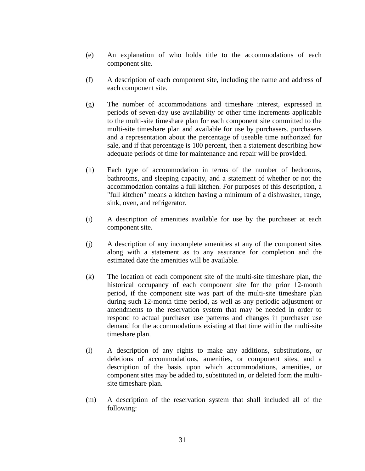- (e) An explanation of who holds title to the accommodations of each component site.
- (f) A description of each component site, including the name and address of each component site.
- (g) The number of accommodations and timeshare interest, expressed in periods of seven-day use availability or other time increments applicable to the multi-site timeshare plan for each component site committed to the multi-site timeshare plan and available for use by purchasers. purchasers and a representation about the percentage of useable time authorized for sale, and if that percentage is 100 percent, then a statement describing how adequate periods of time for maintenance and repair will be provided.
- (h) Each type of accommodation in terms of the number of bedrooms, bathrooms, and sleeping capacity, and a statement of whether or not the accommodation contains a full kitchen. For purposes of this description, a "full kitchen" means a kitchen having a minimum of a dishwasher, range, sink, oven, and refrigerator.
- (i) A description of amenities available for use by the purchaser at each component site.
- (j) A description of any incomplete amenities at any of the component sites along with a statement as to any assurance for completion and the estimated date the amenities will be available.
- (k) The location of each component site of the multi-site timeshare plan, the historical occupancy of each component site for the prior 12-month period, if the component site was part of the multi-site timeshare plan during such 12-month time period, as well as any periodic adjustment or amendments to the reservation system that may be needed in order to respond to actual purchaser use patterns and changes in purchaser use demand for the accommodations existing at that time within the multi-site timeshare plan.
- (l) A description of any rights to make any additions, substitutions, or deletions of accommodations, amenities, or component sites, and a description of the basis upon which accommodations, amenities, or component sites may be added to, substituted in, or deleted form the multisite timeshare plan.
- (m) A description of the reservation system that shall included all of the following: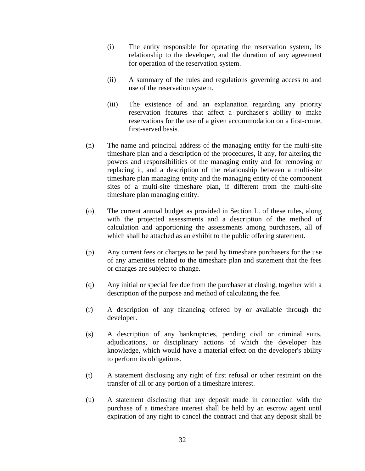- (i) The entity responsible for operating the reservation system, its relationship to the developer, and the duration of any agreement for operation of the reservation system.
- (ii) A summary of the rules and regulations governing access to and use of the reservation system.
- (iii) The existence of and an explanation regarding any priority reservation features that affect a purchaser's ability to make reservations for the use of a given accommodation on a first-come, first-served basis.
- (n) The name and principal address of the managing entity for the multi-site timeshare plan and a description of the procedures, if any, for altering the powers and responsibilities of the managing entity and for removing or replacing it, and a description of the relationship between a multi-site timeshare plan managing entity and the managing entity of the component sites of a multi-site timeshare plan, if different from the multi-site timeshare plan managing entity.
- (o) The current annual budget as provided in Section L. of these rules, along with the projected assessments and a description of the method of calculation and apportioning the assessments among purchasers, all of which shall be attached as an exhibit to the public offering statement.
- (p) Any current fees or charges to be paid by timeshare purchasers for the use of any amenities related to the timeshare plan and statement that the fees or charges are subject to change.
- (q) Any initial or special fee due from the purchaser at closing, together with a description of the purpose and method of calculating the fee.
- (r) A description of any financing offered by or available through the developer.
- (s) A description of any bankruptcies, pending civil or criminal suits, adjudications, or disciplinary actions of which the developer has knowledge, which would have a material effect on the developer's ability to perform its obligations.
- (t) A statement disclosing any right of first refusal or other restraint on the transfer of all or any portion of a timeshare interest.
- (u) A statement disclosing that any deposit made in connection with the purchase of a timeshare interest shall be held by an escrow agent until expiration of any right to cancel the contract and that any deposit shall be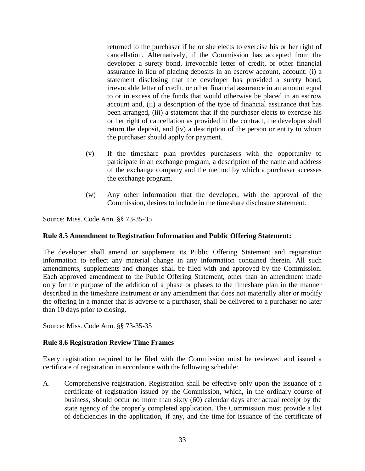returned to the purchaser if he or she elects to exercise his or her right of cancellation. Alternatively, if the Commission has accepted from the developer a surety bond, irrevocable letter of credit, or other financial assurance in lieu of placing deposits in an escrow account, account: (i) a statement disclosing that the developer has provided a surety bond, irrevocable letter of credit, or other financial assurance in an amount equal to or in excess of the funds that would otherwise be placed in an escrow account and, (ii) a description of the type of financial assurance that has been arranged, (iii) a statement that if the purchaser elects to exercise his or her right of cancellation as provided in the contract, the developer shall return the deposit, and (iv) a description of the person or entity to whom the purchaser should apply for payment.

- (v) If the timeshare plan provides purchasers with the opportunity to participate in an exchange program, a description of the name and address of the exchange company and the method by which a purchaser accesses the exchange program.
- (w) Any other information that the developer, with the approval of the Commission, desires to include in the timeshare disclosure statement.

Source: Miss. Code Ann. §§ 73-35-35

#### **Rule 8.5 Amendment to Registration Information and Public Offering Statement:**

The developer shall amend or supplement its Public Offering Statement and registration information to reflect any material change in any information contained therein. All such amendments, supplements and changes shall be filed with and approved by the Commission. Each approved amendment to the Public Offering Statement, other than an amendment made only for the purpose of the addition of a phase or phases to the timeshare plan in the manner described in the timeshare instrument or any amendment that does not materially alter or modify the offering in a manner that is adverse to a purchaser, shall be delivered to a purchaser no later than 10 days prior to closing.

Source: Miss. Code Ann. §§ 73-35-35

#### **Rule 8.6 Registration Review Time Frames**

Every registration required to be filed with the Commission must be reviewed and issued a certificate of registration in accordance with the following schedule:

A. Comprehensive registration. Registration shall be effective only upon the issuance of a certificate of registration issued by the Commission, which, in the ordinary course of business, should occur no more than sixty (60) calendar days after actual receipt by the state agency of the properly completed application. The Commission must provide a list of deficiencies in the application, if any, and the time for issuance of the certificate of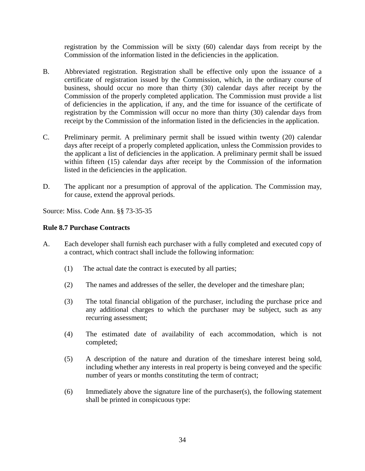registration by the Commission will be sixty (60) calendar days from receipt by the Commission of the information listed in the deficiencies in the application.

- B. Abbreviated registration. Registration shall be effective only upon the issuance of a certificate of registration issued by the Commission, which, in the ordinary course of business, should occur no more than thirty (30) calendar days after receipt by the Commission of the properly completed application. The Commission must provide a list of deficiencies in the application, if any, and the time for issuance of the certificate of registration by the Commission will occur no more than thirty (30) calendar days from receipt by the Commission of the information listed in the deficiencies in the application.
- C. Preliminary permit. A preliminary permit shall be issued within twenty (20) calendar days after receipt of a properly completed application, unless the Commission provides to the applicant a list of deficiencies in the application. A preliminary permit shall be issued within fifteen (15) calendar days after receipt by the Commission of the information listed in the deficiencies in the application.
- D. The applicant nor a presumption of approval of the application. The Commission may, for cause, extend the approval periods.

Source: Miss. Code Ann. §§ 73-35-35

# **Rule 8.7 Purchase Contracts**

- A. Each developer shall furnish each purchaser with a fully completed and executed copy of a contract, which contract shall include the following information:
	- (1) The actual date the contract is executed by all parties;
	- (2) The names and addresses of the seller, the developer and the timeshare plan;
	- (3) The total financial obligation of the purchaser, including the purchase price and any additional charges to which the purchaser may be subject, such as any recurring assessment;
	- (4) The estimated date of availability of each accommodation, which is not completed;
	- (5) A description of the nature and duration of the timeshare interest being sold, including whether any interests in real property is being conveyed and the specific number of years or months constituting the term of contract;
	- (6) Immediately above the signature line of the purchaser(s), the following statement shall be printed in conspicuous type: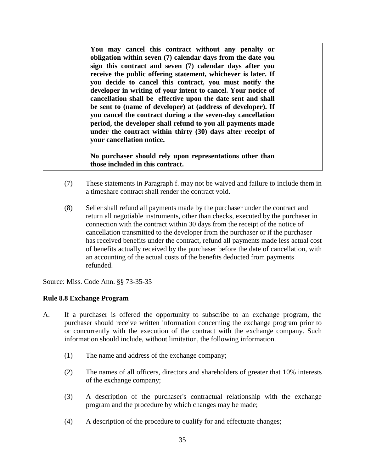**You may cancel this contract without any penalty or obligation within seven (7) calendar days from the date you sign this contract and seven (7) calendar days after you receive the public offering statement, whichever is later. If you decide to cancel this contract, you must notify the developer in writing of your intent to cancel. Your notice of cancellation shall be effective upon the date sent and shall be sent to (name of developer) at (address of developer). If you cancel the contract during a the seven-day cancellation period, the developer shall refund to you all payments made under the contract within thirty (30) days after receipt of your cancellation notice.** 

**No purchaser should rely upon representations other than those included in this contract.**

- (7) These statements in Paragraph f. may not be waived and failure to include them in a timeshare contract shall render the contract void.
- (8) Seller shall refund all payments made by the purchaser under the contract and return all negotiable instruments, other than checks, executed by the purchaser in connection with the contract within 30 days from the receipt of the notice of cancellation transmitted to the developer from the purchaser or if the purchaser has received benefits under the contract, refund all payments made less actual cost of benefits actually received by the purchaser before the date of cancellation, with an accounting of the actual costs of the benefits deducted from payments refunded.

Source: Miss. Code Ann. §§ 73-35-35

#### **Rule 8.8 Exchange Program**

- A. If a purchaser is offered the opportunity to subscribe to an exchange program, the purchaser should receive written information concerning the exchange program prior to or concurrently with the execution of the contract with the exchange company. Such information should include, without limitation, the following information.
	- (1) The name and address of the exchange company;
	- (2) The names of all officers, directors and shareholders of greater that 10% interests of the exchange company;
	- (3) A description of the purchaser's contractual relationship with the exchange program and the procedure by which changes may be made;
	- (4) A description of the procedure to qualify for and effectuate changes;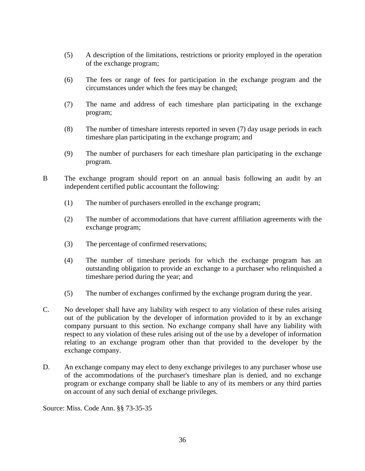- (5) A description of the limitations, restrictions or priority employed in the operation of the exchange program;
- (6) The fees or range of fees for participation in the exchange program and the circumstances under which the fees may be changed;
- (7) The name and address of each timeshare plan participating in the exchange program;
- (8) The number of timeshare interests reported in seven (7) day usage periods in each timeshare plan participating in the exchange program; and
- (9) The number of purchasers for each timeshare plan participating in the exchange program.
- B The exchange program should report on an annual basis following an audit by an independent certified public accountant the following:
	- (1) The number of purchasers enrolled in the exchange program;
	- (2) The number of accommodations that have current affiliation agreements with the exchange program;
	- (3) The percentage of confirmed reservations;
	- (4) The number of timeshare periods for which the exchange program has an outstanding obligation to provide an exchange to a purchaser who relinquished a timeshare period during the year; and
	- (5) The number of exchanges confirmed by the exchange program during the year.
- C. No developer shall have any liability with respect to any violation of these rules arising out of the publication by the developer of information provided to it by an exchange company pursuant to this section. No exchange company shall have any liability with respect to any violation of these rules arising out of the use by a developer of information relating to an exchange program other than that provided to the developer by the exchange company.
- D. An exchange company may elect to deny exchange privileges to any purchaser whose use of the accommodations of the purchaser's timeshare plan is denied, and no exchange program or exchange company shall be liable to any of its members or any third parties on account of any such denial of exchange privileges.

Source: Miss. Code Ann. §§ 73-35-35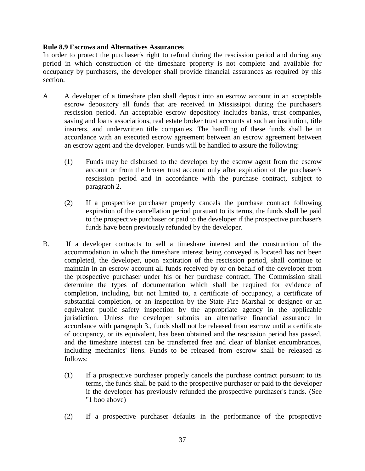#### **Rule 8.9 Escrows and Alternatives Assurances**

In order to protect the purchaser's right to refund during the rescission period and during any period in which construction of the timeshare property is not complete and available for occupancy by purchasers, the developer shall provide financial assurances as required by this section.

- A. A developer of a timeshare plan shall deposit into an escrow account in an acceptable escrow depository all funds that are received in Mississippi during the purchaser's rescission period. An acceptable escrow depository includes banks, trust companies, saving and loans associations, real estate broker trust accounts at such an institution, title insurers, and underwritten title companies. The handling of these funds shall be in accordance with an executed escrow agreement between an escrow agreement between an escrow agent and the developer. Funds will be handled to assure the following:
	- (1) Funds may be disbursed to the developer by the escrow agent from the escrow account or from the broker trust account only after expiration of the purchaser's rescission period and in accordance with the purchase contract, subject to paragraph 2.
	- (2) If a prospective purchaser properly cancels the purchase contract following expiration of the cancellation period pursuant to its terms, the funds shall be paid to the prospective purchaser or paid to the developer if the prospective purchaser's funds have been previously refunded by the developer.
- B. If a developer contracts to sell a timeshare interest and the construction of the accommodation in which the timeshare interest being conveyed is located has not been completed, the developer, upon expiration of the rescission period, shall continue to maintain in an escrow account all funds received by or on behalf of the developer from the prospective purchaser under his or her purchase contract. The Commission shall determine the types of documentation which shall be required for evidence of completion, including, but not limited to, a certificate of occupancy, a certificate of substantial completion, or an inspection by the State Fire Marshal or designee or an equivalent public safety inspection by the appropriate agency in the applicable jurisdiction. Unless the developer submits an alternative financial assurance in accordance with paragraph 3., funds shall not be released from escrow until a certificate of occupancy, or its equivalent, has been obtained and the rescission period has passed, and the timeshare interest can be transferred free and clear of blanket encumbrances, including mechanics' liens. Funds to be released from escrow shall be released as follows:
	- (1) If a prospective purchaser properly cancels the purchase contract pursuant to its terms, the funds shall be paid to the prospective purchaser or paid to the developer if the developer has previously refunded the prospective purchaser's funds. (See "1 boo above)
	- (2) If a prospective purchaser defaults in the performance of the prospective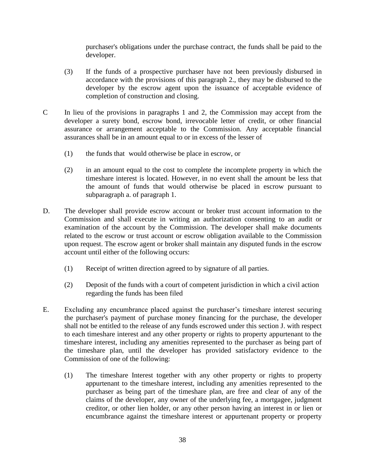purchaser's obligations under the purchase contract, the funds shall be paid to the developer.

- (3) If the funds of a prospective purchaser have not been previously disbursed in accordance with the provisions of this paragraph 2., they may be disbursed to the developer by the escrow agent upon the issuance of acceptable evidence of completion of construction and closing.
- C In lieu of the provisions in paragraphs 1 and 2, the Commission may accept from the developer a surety bond, escrow bond, irrevocable letter of credit, or other financial assurance or arrangement acceptable to the Commission. Any acceptable financial assurances shall be in an amount equal to or in excess of the lesser of
	- (1) the funds that would otherwise be place in escrow, or
	- (2) in an amount equal to the cost to complete the incomplete property in which the timeshare interest is located. However, in no event shall the amount be less that the amount of funds that would otherwise be placed in escrow pursuant to subparagraph a. of paragraph 1.
- D. The developer shall provide escrow account or broker trust account information to the Commission and shall execute in writing an authorization consenting to an audit or examination of the account by the Commission. The developer shall make documents related to the escrow or trust account or escrow obligation available to the Commission upon request. The escrow agent or broker shall maintain any disputed funds in the escrow account until either of the following occurs:
	- (1) Receipt of written direction agreed to by signature of all parties.
	- (2) Deposit of the funds with a court of competent jurisdiction in which a civil action regarding the funds has been filed
- E. Excluding any encumbrance placed against the purchaser's timeshare interest securing the purchaser's payment of purchase money financing for the purchase, the developer shall not be entitled to the release of any funds escrowed under this section J. with respect to each timeshare interest and any other property or rights to property appurtenant to the timeshare interest, including any amenities represented to the purchaser as being part of the timeshare plan, until the developer has provided satisfactory evidence to the Commission of one of the following:
	- (1) The timeshare Interest together with any other property or rights to property appurtenant to the timeshare interest, including any amenities represented to the purchaser as being part of the timeshare plan, are free and clear of any of the claims of the developer, any owner of the underlying fee, a mortgagee, judgment creditor, or other lien holder, or any other person having an interest in or lien or encumbrance against the timeshare interest or appurtenant property or property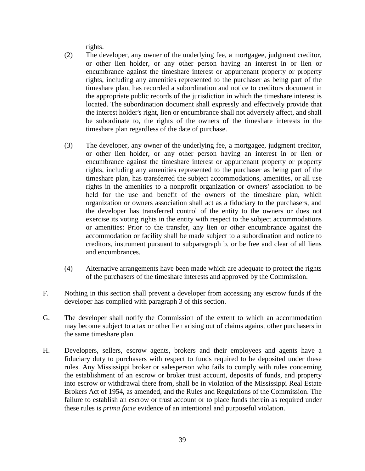rights.

- (2) The developer, any owner of the underlying fee, a mortgagee, judgment creditor, or other lien holder, or any other person having an interest in or lien or encumbrance against the timeshare interest or appurtenant property or property rights, including any amenities represented to the purchaser as being part of the timeshare plan, has recorded a subordination and notice to creditors document in the appropriate public records of the jurisdiction in which the timeshare interest is located. The subordination document shall expressly and effectively provide that the interest holder's right, lien or encumbrance shall not adversely affect, and shall be subordinate to, the rights of the owners of the timeshare interests in the timeshare plan regardless of the date of purchase.
- (3) The developer, any owner of the underlying fee, a mortgagee, judgment creditor, or other lien holder, or any other person having an interest in or lien or encumbrance against the timeshare interest or appurtenant property or property rights, including any amenities represented to the purchaser as being part of the timeshare plan, has transferred the subject accommodations, amenities, or all use rights in the amenities to a nonprofit organization or owners' association to be held for the use and benefit of the owners of the timeshare plan, which organization or owners association shall act as a fiduciary to the purchasers, and the developer has transferred control of the entity to the owners or does not exercise its voting rights in the entity with respect to the subject accommodations or amenities: Prior to the transfer, any lien or other encumbrance against the accommodation or facility shall be made subject to a subordination and notice to creditors, instrument pursuant to subparagraph b. or be free and clear of all liens and encumbrances.
- (4) Alternative arrangements have been made which are adequate to protect the rights of the purchasers of the timeshare interests and approved by the Commission.
- F. Nothing in this section shall prevent a developer from accessing any escrow funds if the developer has complied with paragraph 3 of this section.
- G. The developer shall notify the Commission of the extent to which an accommodation may become subject to a tax or other lien arising out of claims against other purchasers in the same timeshare plan.
- H. Developers, sellers, escrow agents, brokers and their employees and agents have a fiduciary duty to purchasers with respect to funds required to be deposited under these rules. Any Mississippi broker or salesperson who fails to comply with rules concerning the establishment of an escrow or broker trust account, deposits of funds, and property into escrow or withdrawal there from, shall be in violation of the Mississippi Real Estate Brokers Act of 1954, as amended, and the Rules and Regulations of the Commission. The failure to establish an escrow or trust account or to place funds therein as required under these rules is *prima facie* evidence of an intentional and purposeful violation.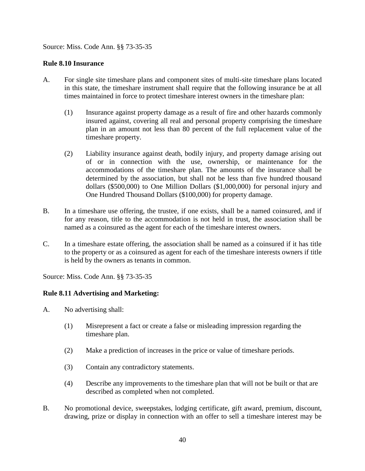Source: Miss. Code Ann. §§ 73-35-35

#### **Rule 8.10 Insurance**

- A. For single site timeshare plans and component sites of multi-site timeshare plans located in this state, the timeshare instrument shall require that the following insurance be at all times maintained in force to protect timeshare interest owners in the timeshare plan:
	- (1) Insurance against property damage as a result of fire and other hazards commonly insured against, covering all real and personal property comprising the timeshare plan in an amount not less than 80 percent of the full replacement value of the timeshare property.
	- (2) Liability insurance against death, bodily injury, and property damage arising out of or in connection with the use, ownership, or maintenance for the accommodations of the timeshare plan. The amounts of the insurance shall be determined by the association, but shall not be less than five hundred thousand dollars (\$500,000) to One Million Dollars (\$1,000,000) for personal injury and One Hundred Thousand Dollars (\$100,000) for property damage.
- B. In a timeshare use offering, the trustee, if one exists, shall be a named coinsured, and if for any reason, title to the accommodation is not held in trust, the association shall be named as a coinsured as the agent for each of the timeshare interest owners.
- C. In a timeshare estate offering, the association shall be named as a coinsured if it has title to the property or as a coinsured as agent for each of the timeshare interests owners if title is held by the owners as tenants in common.

Source: Miss. Code Ann. §§ 73-35-35

#### **Rule 8.11 Advertising and Marketing:**

A. No advertising shall:

- (1) Misrepresent a fact or create a false or misleading impression regarding the timeshare plan.
- (2) Make a prediction of increases in the price or value of timeshare periods.
- (3) Contain any contradictory statements.
- (4) Describe any improvements to the timeshare plan that will not be built or that are described as completed when not completed.
- B. No promotional device, sweepstakes, lodging certificate, gift award, premium, discount, drawing, prize or display in connection with an offer to sell a timeshare interest may be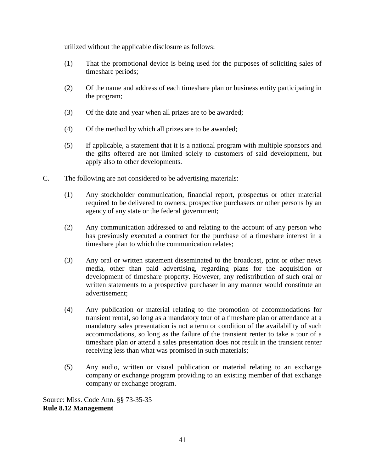utilized without the applicable disclosure as follows:

- (1) That the promotional device is being used for the purposes of soliciting sales of timeshare periods;
- (2) Of the name and address of each timeshare plan or business entity participating in the program;
- (3) Of the date and year when all prizes are to be awarded;
- (4) Of the method by which all prizes are to be awarded;
- (5) If applicable, a statement that it is a national program with multiple sponsors and the gifts offered are not limited solely to customers of said development, but apply also to other developments.
- C. The following are not considered to be advertising materials:
	- (1) Any stockholder communication, financial report, prospectus or other material required to be delivered to owners, prospective purchasers or other persons by an agency of any state or the federal government;
	- (2) Any communication addressed to and relating to the account of any person who has previously executed a contract for the purchase of a timeshare interest in a timeshare plan to which the communication relates;
	- (3) Any oral or written statement disseminated to the broadcast, print or other news media, other than paid advertising, regarding plans for the acquisition or development of timeshare property. However, any redistribution of such oral or written statements to a prospective purchaser in any manner would constitute an advertisement;
	- (4) Any publication or material relating to the promotion of accommodations for transient rental, so long as a mandatory tour of a timeshare plan or attendance at a mandatory sales presentation is not a term or condition of the availability of such accommodations, so long as the failure of the transient renter to take a tour of a timeshare plan or attend a sales presentation does not result in the transient renter receiving less than what was promised in such materials;
	- (5) Any audio, written or visual publication or material relating to an exchange company or exchange program providing to an existing member of that exchange company or exchange program.

Source: Miss. Code Ann. §§ 73-35-35 **Rule 8.12 Management**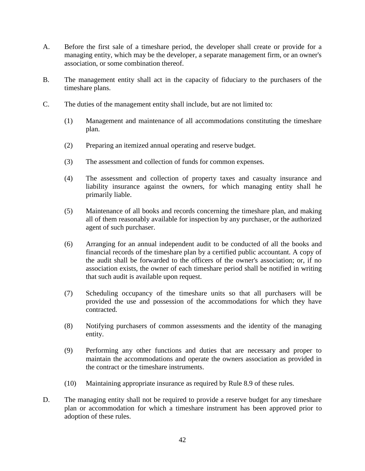- A. Before the first sale of a timeshare period, the developer shall create or provide for a managing entity, which may be the developer, a separate management firm, or an owner's association, or some combination thereof.
- B. The management entity shall act in the capacity of fiduciary to the purchasers of the timeshare plans.
- C. The duties of the management entity shall include, but are not limited to:
	- (1) Management and maintenance of all accommodations constituting the timeshare plan.
	- (2) Preparing an itemized annual operating and reserve budget.
	- (3) The assessment and collection of funds for common expenses.
	- (4) The assessment and collection of property taxes and casualty insurance and liability insurance against the owners, for which managing entity shall he primarily liable.
	- (5) Maintenance of all books and records concerning the timeshare plan, and making all of them reasonably available for inspection by any purchaser, or the authorized agent of such purchaser.
	- (6) Arranging for an annual independent audit to be conducted of all the books and financial records of the timeshare plan by a certified public accountant. A copy of the audit shall be forwarded to the officers of the owner's association; or, if no association exists, the owner of each timeshare period shall be notified in writing that such audit is available upon request.
	- (7) Scheduling occupancy of the timeshare units so that all purchasers will be provided the use and possession of the accommodations for which they have contracted.
	- (8) Notifying purchasers of common assessments and the identity of the managing entity.
	- (9) Performing any other functions and duties that are necessary and proper to maintain the accommodations and operate the owners association as provided in the contract or the timeshare instruments.
	- (10) Maintaining appropriate insurance as required by Rule 8.9 of these rules.
- D. The managing entity shall not be required to provide a reserve budget for any timeshare plan or accommodation for which a timeshare instrument has been approved prior to adoption of these rules.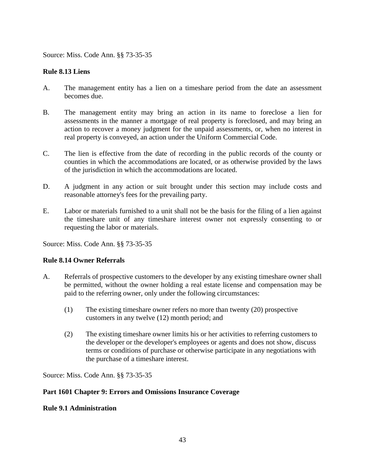Source: Miss. Code Ann. §§ 73-35-35

### **Rule 8.13 Liens**

- A. The management entity has a lien on a timeshare period from the date an assessment becomes due.
- B. The management entity may bring an action in its name to foreclose a lien for assessments in the manner a mortgage of real property is foreclosed, and may bring an action to recover a money judgment for the unpaid assessments, or, when no interest in real property is conveyed, an action under the Uniform Commercial Code.
- C. The lien is effective from the date of recording in the public records of the county or counties in which the accommodations are located, or as otherwise provided by the laws of the jurisdiction in which the accommodations are located.
- D. A judgment in any action or suit brought under this section may include costs and reasonable attorney's fees for the prevailing party.
- E. Labor or materials furnished to a unit shall not be the basis for the filing of a lien against the timeshare unit of any timeshare interest owner not expressly consenting to or requesting the labor or materials.

Source: Miss. Code Ann. §§ 73-35-35

#### **Rule 8.14 Owner Referrals**

- A. Referrals of prospective customers to the developer by any existing timeshare owner shall be permitted, without the owner holding a real estate license and compensation may be paid to the referring owner, only under the following circumstances:
	- (1) The existing timeshare owner refers no more than twenty (20) prospective customers in any twelve (12) month period; and
	- (2) The existing timeshare owner limits his or her activities to referring customers to the developer or the developer's employees or agents and does not show, discuss terms or conditions of purchase or otherwise participate in any negotiations with the purchase of a timeshare interest.

Source: Miss. Code Ann. §§ 73-35-35

#### **Part 1601 Chapter 9: Errors and Omissions Insurance Coverage**

#### **Rule 9.1 Administration**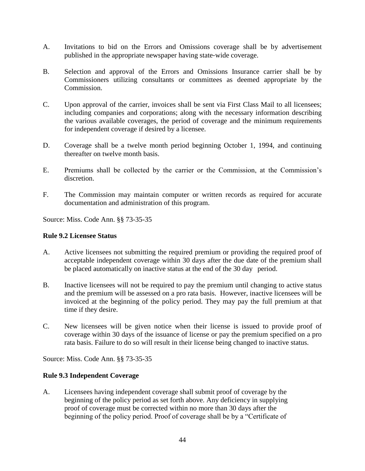- A. Invitations to bid on the Errors and Omissions coverage shall be by advertisement published in the appropriate newspaper having state‐wide coverage.
- B. Selection and approval of the Errors and Omissions Insurance carrier shall be by Commissioners utilizing consultants or committees as deemed appropriate by the Commission.
- C. Upon approval of the carrier, invoices shall be sent via First Class Mail to all licensees; including companies and corporations; along with the necessary information describing the various available coverages, the period of coverage and the minimum requirements for independent coverage if desired by a licensee.
- D. Coverage shall be a twelve month period beginning October 1, 1994, and continuing thereafter on twelve month basis.
- E. Premiums shall be collected by the carrier or the Commission, at the Commission's discretion.
- F. The Commission may maintain computer or written records as required for accurate documentation and administration of this program.

Source: Miss. Code Ann. §§ 73-35-35

### **Rule 9.2 Licensee Status**

- A. Active licensees not submitting the required premium or providing the required proof of acceptable independent coverage within 30 days after the due date of the premium shall be placed automatically on inactive status at the end of the 30 day period.
- B. Inactive licensees will not be required to pay the premium until changing to active status and the premium will be assessed on a pro rata basis. However, inactive licensees will be invoiced at the beginning of the policy period. They may pay the full premium at that time if they desire.
- C. New licensees will be given notice when their license is issued to provide proof of coverage within 30 days of the issuance of license or pay the premium specified on a pro rata basis. Failure to do so will result in their license being changed to inactive status.

Source: Miss. Code Ann. §§ 73-35-35

#### **Rule 9.3 Independent Coverage**

A. Licensees having independent coverage shall submit proof of coverage by the beginning of the policy period as set forth above. Any deficiency in supplying proof of coverage must be corrected within no more than 30 days after the beginning of the policy period. Proof of coverage shall be by a "Certificate of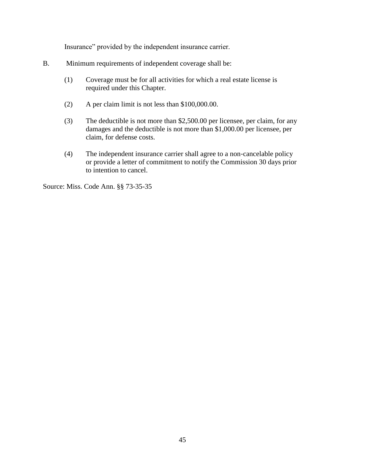Insurance" provided by the independent insurance carrier.

- B. Minimum requirements of independent coverage shall be:
	- (1) Coverage must be for all activities for which a real estate license is required under this Chapter.
	- (2) A per claim limit is not less than \$100,000.00.
	- (3) The deductible is not more than \$2,500.00 per licensee, per claim, for any damages and the deductible is not more than \$1,000.00 per licensee, per claim, for defense costs.
	- (4) The independent insurance carrier shall agree to a non‐cancelable policy or provide a letter of commitment to notify the Commission 30 days prior to intention to cancel.

Source: Miss. Code Ann. §§ 73-35-35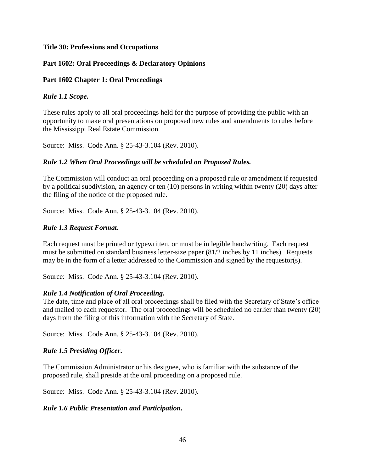#### **Title 30: Professions and Occupations**

### **Part 1602: Oral Proceedings & Declaratory Opinions**

#### **Part 1602 Chapter 1: Oral Proceedings**

### *Rule 1.1 Scope.*

These rules apply to all oral proceedings held for the purpose of providing the public with an opportunity to make oral presentations on proposed new rules and amendments to rules before the Mississippi Real Estate Commission.

Source: Miss. Code Ann. § 25-43-3.104 (Rev. 2010).

### *Rule 1.2 When Oral Proceedings will be scheduled on Proposed Rules.*

The Commission will conduct an oral proceeding on a proposed rule or amendment if requested by a political subdivision, an agency or ten (10) persons in writing within twenty (20) days after the filing of the notice of the proposed rule.

Source: Miss. Code Ann. § 25-43-3.104 (Rev. 2010).

### *Rule 1.3 Request Format.*

Each request must be printed or typewritten, or must be in legible handwriting. Each request must be submitted on standard business letter-size paper (81/2 inches by 11 inches). Requests may be in the form of a letter addressed to the Commission and signed by the requestor(s).

Source: Miss. Code Ann. § 25-43-3.104 (Rev. 2010).

#### *Rule 1.4 Notification of Oral Proceeding.*

The date, time and place of all oral proceedings shall be filed with the Secretary of State's office and mailed to each requestor. The oral proceedings will be scheduled no earlier than twenty (20) days from the filing of this information with the Secretary of State.

Source: Miss. Code Ann. § 25-43-3.104 (Rev. 2010).

### *Rule 1.5 Presiding Officer***.**

The Commission Administrator or his designee, who is familiar with the substance of the proposed rule, shall preside at the oral proceeding on a proposed rule.

Source: Miss. Code Ann. § 25-43-3.104 (Rev. 2010).

#### *Rule 1.6 Public Presentation and Participation.*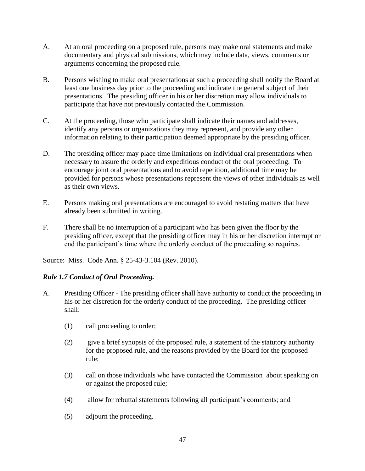- A. At an oral proceeding on a proposed rule, persons may make oral statements and make documentary and physical submissions, which may include data, views, comments or arguments concerning the proposed rule.
- B. Persons wishing to make oral presentations at such a proceeding shall notify the Board at least one business day prior to the proceeding and indicate the general subject of their presentations. The presiding officer in his or her discretion may allow individuals to participate that have not previously contacted the Commission.
- C. At the proceeding, those who participate shall indicate their names and addresses, identify any persons or organizations they may represent, and provide any other information relating to their participation deemed appropriate by the presiding officer.
- D. The presiding officer may place time limitations on individual oral presentations when necessary to assure the orderly and expeditious conduct of the oral proceeding. To encourage joint oral presentations and to avoid repetition, additional time may be provided for persons whose presentations represent the views of other individuals as well as their own views.
- E. Persons making oral presentations are encouraged to avoid restating matters that have already been submitted in writing.
- F. There shall be no interruption of a participant who has been given the floor by the presiding officer, except that the presiding officer may in his or her discretion interrupt or end the participant's time where the orderly conduct of the proceeding so requires.

Source: Miss. Code Ann. § 25-43-3.104 (Rev. 2010).

### *Rule 1.7 Conduct of Oral Proceeding.*

- A. Presiding Officer The presiding officer shall have authority to conduct the proceeding in his or her discretion for the orderly conduct of the proceeding. The presiding officer shall:
	- (1) call proceeding to order;
	- (2) give a brief synopsis of the proposed rule, a statement of the statutory authority for the proposed rule, and the reasons provided by the Board for the proposed rule;
	- (3) call on those individuals who have contacted the Commission about speaking on or against the proposed rule;
	- (4) allow for rebuttal statements following all participant's comments; and
	- (5) adjourn the proceeding.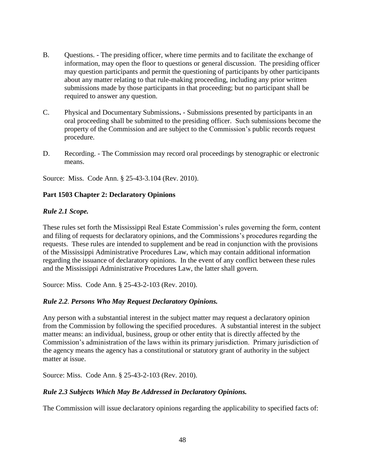- B. Questions. The presiding officer, where time permits and to facilitate the exchange of information, may open the floor to questions or general discussion. The presiding officer may question participants and permit the questioning of participants by other participants about any matter relating to that rule-making proceeding, including any prior written submissions made by those participants in that proceeding; but no participant shall be required to answer any question.
- C. Physical and Documentary Submissions**.** Submissions presented by participants in an oral proceeding shall be submitted to the presiding officer. Such submissions become the property of the Commission and are subject to the Commission's public records request procedure.
- D. Recording. The Commission may record oral proceedings by stenographic or electronic means.

Source: Miss. Code Ann. § 25-43-3.104 (Rev. 2010).

### **Part 1503 Chapter 2: Declaratory Opinions**

### *Rule 2.1 Scope.*

These rules set forth the Mississippi Real Estate Commission's rules governing the form, content and filing of requests for declaratory opinions, and the Commissions's procedures regarding the requests. These rules are intended to supplement and be read in conjunction with the provisions of the Mississippi Administrative Procedures Law, which may contain additional information regarding the issuance of declaratory opinions. In the event of any conflict between these rules and the Mississippi Administrative Procedures Law, the latter shall govern.

Source: Miss. Code Ann. § 25-43-2-103 (Rev. 2010).

### *Rule 2.2. Persons Who May Request Declaratory Opinions.*

Any person with a substantial interest in the subject matter may request a declaratory opinion from the Commission by following the specified procedures. A substantial interest in the subject matter means: an individual, business, group or other entity that is directly affected by the Commission's administration of the laws within its primary jurisdiction. Primary jurisdiction of the agency means the agency has a constitutional or statutory grant of authority in the subject matter at issue.

Source: Miss. Code Ann. § 25-43-2-103 (Rev. 2010).

#### *Rule 2.3 Subjects Which May Be Addressed in Declaratory Opinions.*

The Commission will issue declaratory opinions regarding the applicability to specified facts of: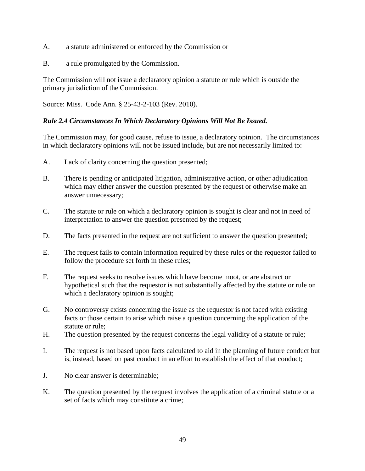- A. a statute administered or enforced by the Commission or
- B. a rule promulgated by the Commission.

The Commission will not issue a declaratory opinion a statute or rule which is outside the primary jurisdiction of the Commission.

Source: Miss. Code Ann. § 25-43-2-103 (Rev. 2010).

### *Rule 2.4 Circumstances In Which Declaratory Opinions Will Not Be Issued.*

The Commission may, for good cause, refuse to issue, a declaratory opinion. The circumstances in which declaratory opinions will not be issued include, but are not necessarily limited to:

- A. Lack of clarity concerning the question presented;
- B. There is pending or anticipated litigation, administrative action, or other adjudication which may either answer the question presented by the request or otherwise make an answer unnecessary;
- C. The statute or rule on which a declaratory opinion is sought is clear and not in need of interpretation to answer the question presented by the request;
- D. The facts presented in the request are not sufficient to answer the question presented;
- E. The request fails to contain information required by these rules or the requestor failed to follow the procedure set forth in these rules;
- F. The request seeks to resolve issues which have become moot, or are abstract or hypothetical such that the requestor is not substantially affected by the statute or rule on which a declaratory opinion is sought;
- G. No controversy exists concerning the issue as the requestor is not faced with existing facts or those certain to arise which raise a question concerning the application of the statute or rule;
- H. The question presented by the request concerns the legal validity of a statute or rule;
- I. The request is not based upon facts calculated to aid in the planning of future conduct but is, instead, based on past conduct in an effort to establish the effect of that conduct;
- J. No clear answer is determinable;
- K. The question presented by the request involves the application of a criminal statute or a set of facts which may constitute a crime;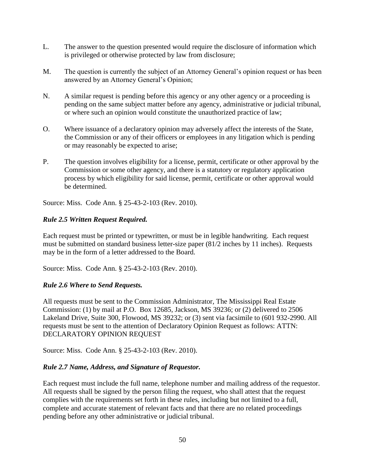- L. The answer to the question presented would require the disclosure of information which is privileged or otherwise protected by law from disclosure;
- M. The question is currently the subject of an Attorney General's opinion request or has been answered by an Attorney General's Opinion;
- N. A similar request is pending before this agency or any other agency or a proceeding is pending on the same subject matter before any agency, administrative or judicial tribunal, or where such an opinion would constitute the unauthorized practice of law;
- O. Where issuance of a declaratory opinion may adversely affect the interests of the State, the Commission or any of their officers or employees in any litigation which is pending or may reasonably be expected to arise;
- P. The question involves eligibility for a license, permit, certificate or other approval by the Commission or some other agency, and there is a statutory or regulatory application process by which eligibility for said license, permit, certificate or other approval would be determined.

Source: Miss. Code Ann. § 25-43-2-103 (Rev. 2010).

### *Rule 2.5 Written Request Required.*

Each request must be printed or typewritten, or must be in legible handwriting. Each request must be submitted on standard business letter-size paper (81/2 inches by 11 inches). Requests may be in the form of a letter addressed to the Board.

Source: Miss. Code Ann. § 25-43-2-103 (Rev. 2010).

### *Rule 2.6 Where to Send Requests.*

All requests must be sent to the Commission Administrator, The Mississippi Real Estate Commission: (1) by mail at P.O. Box 12685, Jackson, MS 39236; or (2) delivered to 2506 Lakeland Drive, Suite 300, Flowood, MS 39232; or (3) sent via facsimile to (601 932-2990. All requests must be sent to the attention of Declaratory Opinion Request as follows: ATTN: DECLARATORY OPINION REQUEST

Source: Miss. Code Ann. § 25-43-2-103 (Rev. 2010).

### *Rule 2.7 Name, Address, and Signature of Requestor.*

Each request must include the full name, telephone number and mailing address of the requestor. All requests shall be signed by the person filing the request, who shall attest that the request complies with the requirements set forth in these rules, including but not limited to a full, complete and accurate statement of relevant facts and that there are no related proceedings pending before any other administrative or judicial tribunal.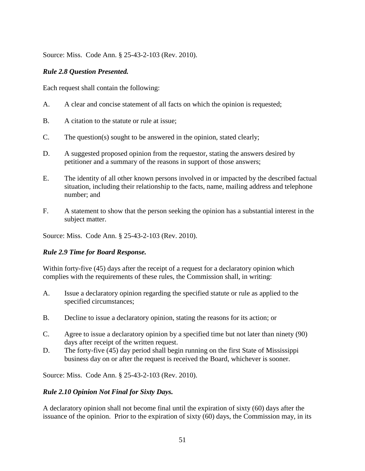Source: Miss. Code Ann. § 25-43-2-103 (Rev. 2010).

## *Rule 2.8 Question Presented.*

Each request shall contain the following:

- A. A clear and concise statement of all facts on which the opinion is requested;
- B. A citation to the statute or rule at issue;
- C. The question(s) sought to be answered in the opinion, stated clearly;
- D. A suggested proposed opinion from the requestor, stating the answers desired by petitioner and a summary of the reasons in support of those answers;
- E. The identity of all other known persons involved in or impacted by the described factual situation, including their relationship to the facts, name, mailing address and telephone number; and
- F. A statement to show that the person seeking the opinion has a substantial interest in the subject matter.

Source: Miss. Code Ann. § 25-43-2-103 (Rev. 2010).

### *Rule 2.9 Time for Board Response.*

Within forty-five (45) days after the receipt of a request for a declaratory opinion which complies with the requirements of these rules, the Commission shall, in writing:

- A. Issue a declaratory opinion regarding the specified statute or rule as applied to the specified circumstances;
- B. Decline to issue a declaratory opinion, stating the reasons for its action; or
- C. Agree to issue a declaratory opinion by a specified time but not later than ninety (90) days after receipt of the written request.
- D. The forty-five (45) day period shall begin running on the first State of Mississippi business day on or after the request is received the Board, whichever is sooner.

Source: Miss. Code Ann. § 25-43-2-103 (Rev. 2010).

### *Rule 2.10 Opinion Not Final for Sixty Days.*

A declaratory opinion shall not become final until the expiration of sixty (60) days after the issuance of the opinion. Prior to the expiration of sixty (60) days, the Commission may, in its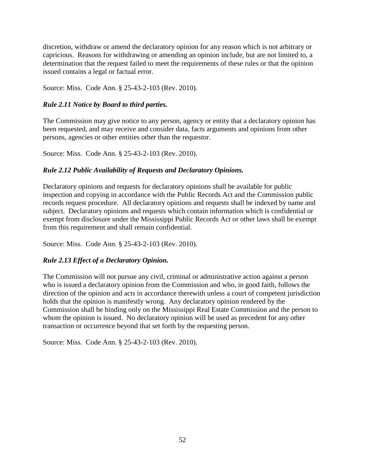discretion, withdraw or amend the declaratory opinion for any reason which is not arbitrary or capricious. Reasons for withdrawing or amending an opinion include, but are not limited to, a determination that the request failed to meet the requirements of these rules or that the opinion issued contains a legal or factual error.

Source: Miss. Code Ann. § 25-43-2-103 (Rev. 2010).

### *Rule 2.11 Notice by Board to third parties.*

The Commission may give notice to any person, agency or entity that a declaratory opinion has been requested, and may receive and consider data, facts arguments and opinions from other persons, agencies or other entities other than the requestor.

Source: Miss. Code Ann. § 25-43-2-103 (Rev. 2010).

### *Rule 2.12 Public Availability of Requests and Declaratory Opinions.*

Declaratory opinions and requests for declaratory opinions shall be available for public inspection and copying in accordance with the Public Records Act and the Commission public records request procedure. All declaratory opinions and requests shall be indexed by name and subject. Declaratory opinions and requests which contain information which is confidential or exempt from disclosure under the Mississippi Public Records Act or other laws shall be exempt from this requirement and shall remain confidential.

Source: Miss. Code Ann. § 25-43-2-103 (Rev. 2010).

#### *Rule 2.13 Effect of a Declaratory Opinion.*

The Commission will not pursue any civil, criminal or administrative action against a person who is issued a declaratory opinion from the Commission and who, in good faith, follows the direction of the opinion and acts in accordance therewith unless a court of competent jurisdiction holds that the opinion is manifestly wrong. Any declaratory opinion rendered by the Commission shall be binding only on the Mississippi Real Estate Commission and the person to whom the opinion is issued. No declaratory opinion will be used as precedent for any other transaction or occurrence beyond that set forth by the requesting person.

Source: Miss. Code Ann. § 25-43-2-103 (Rev. 2010).